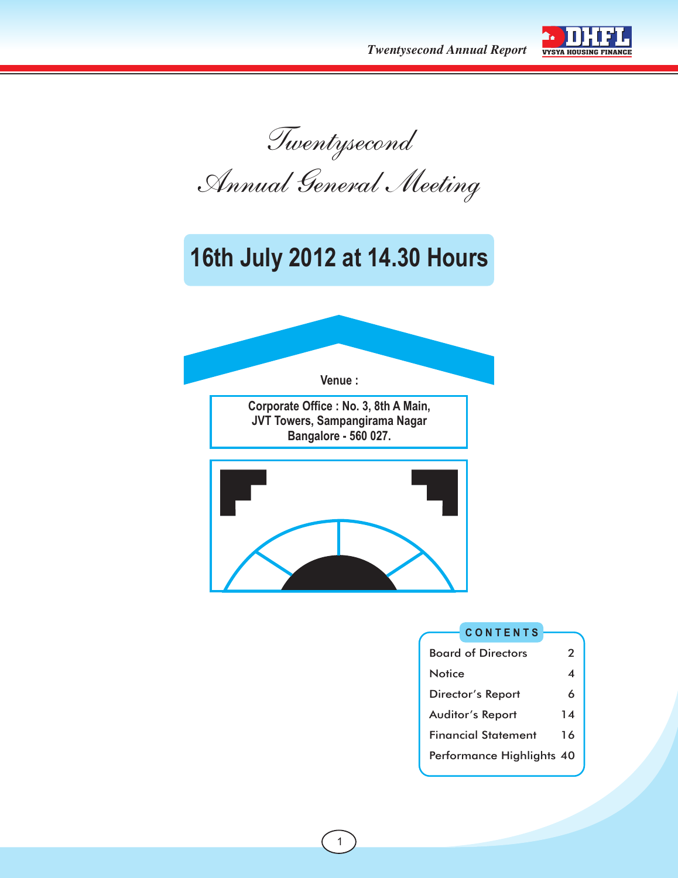*Twentysecond Annual Report*



*Twentysecond Annual General Meeting*

## **16th July 2012 at 14.30 Hours**



**Corporate Office : No. 3, 8th A Main, JVT Towers, Sampangirama Nagar Bangalore - 560 027.**



#### **C O N T E N T S**

| <b>Board of Directors</b>  | 2  |
|----------------------------|----|
| Notice                     | 4  |
| Director's Report          | 6  |
| <b>Auditor's Report</b>    | 14 |
| <b>Financial Statement</b> | 16 |
| Performance Highlights 40  |    |
|                            |    |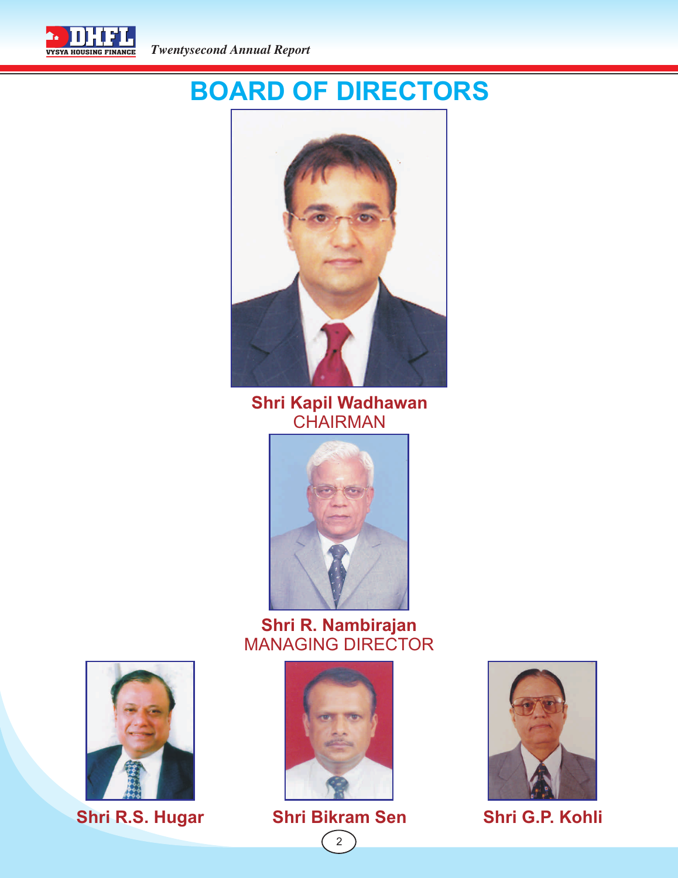

# **BOARD OF DIRECTORS**



**Shri Kapil Wadhawan CHAIRMAN** 



## **Shri R. Nambirajan** MANAGING DIRECTOR



 $\begin{bmatrix} 2 \end{bmatrix}$ 





**Shri R.S. Hugar Shri Bikram Sen Shri G.P. Kohli**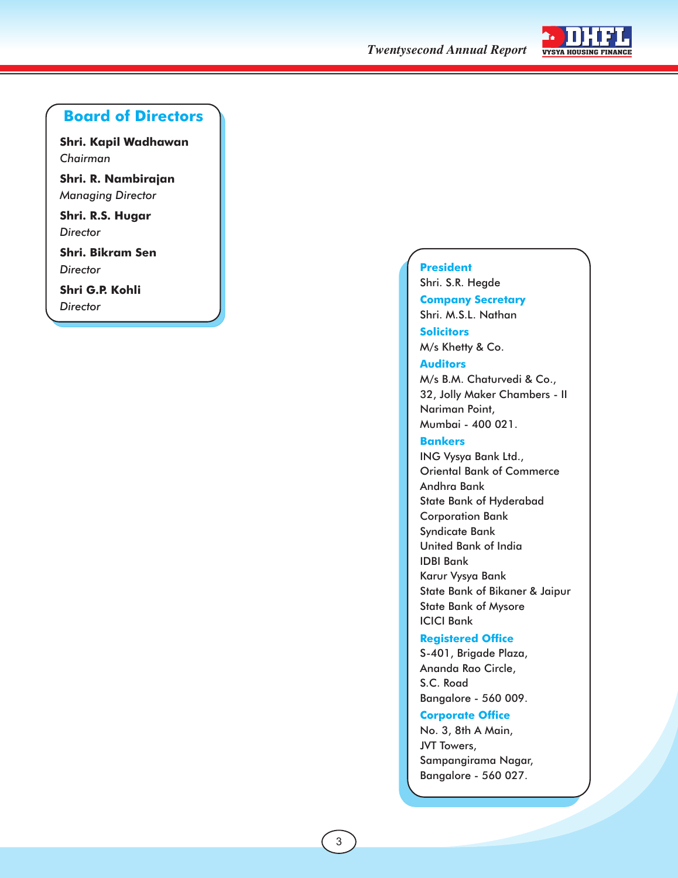**Twentysecond Annual Report** VYSYA HOUSING FINANCE



## **Board of Directors**

**Shri. Kapil Wadhawan** *Chairman*

**Shri. R. Nambirajan** *Managing Director*

**Shri. R.S. Hugar** *Director*

**Shri. Bikram Sen** *Director*

**Shri G.P. Kohli** *Director*

#### **President**

**Company Secretary Solicitors** Shri. S.R. Hegde Shri. M.S.L. Nathan M/s Khetty & Co.

#### **Auditors**

M/s B.M. Chaturvedi & Co., 32, Jolly Maker Chambers - II Nariman Point, Mumbai - 400 021.

#### **Bankers**

ING Vysya Bank Ltd., Oriental Bank of Commerce Andhra Bank State Bank of Hyderabad Corporation Bank Syndicate Bank United Bank of India IDBI Bank Karur Vysya Bank State Bank of Bikaner & Jaipur State Bank of Mysore ICICI Bank

#### **Registered Office**

S-401, Brigade Plaza, Ananda Rao Circle, S.C. Road Bangalore - 560 009.

#### **Corporate Office**

No. 3, 8th A Main, JVT Towers, Sampangirama Nagar, Bangalore - 560 027.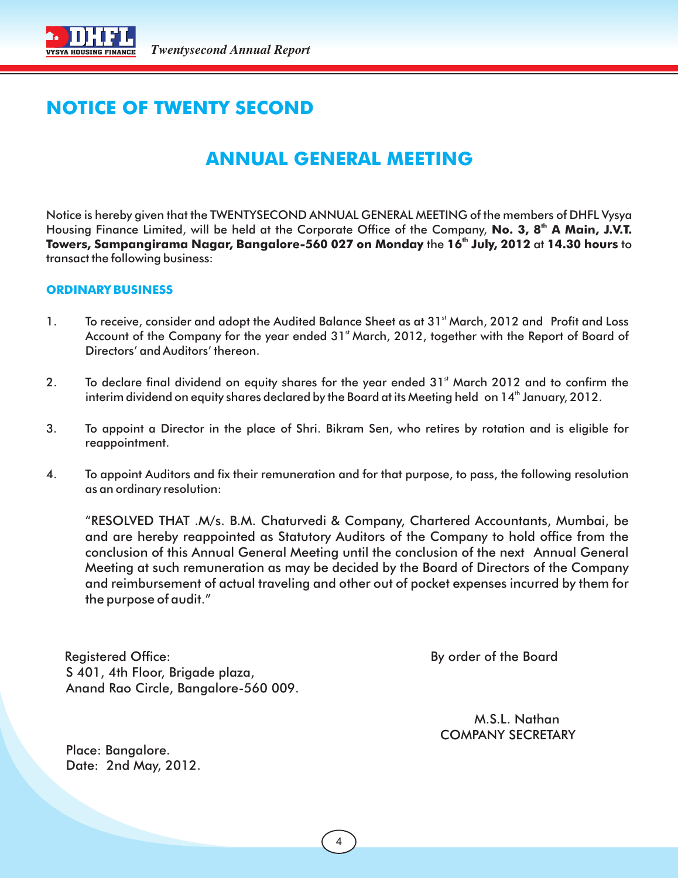

## **NOTICE OF TWENTY SECOND**

## **ANNUAL GENERAL MEETING**

Notice is hereby given that the TWENTYSECOND ANNUAL GENERAL MEETING of the members of DHFL Vysya Housing Finance Limited, will be held at the Corporate Office of the Company, **No. 3, 8<sup>th</sup> A Main, J.V.T. th Towers, Sampangirama Nagar, Bangalore-560 027 on Monday** the **16 July, 2012** at **14.30 hours** to transact the following business:

#### **ORDINARY BUSINESS**

- 1. To receive, consider and adopt the Audited Balance Sheet as at 31<sup>st</sup> March, 2012 and Profit and Loss Account of the Company for the year ended 31<sup>st</sup> March, 2012, together with the Report of Board of Directors' and Auditors' thereon.
- 2. To declare final dividend on equity shares for the year ended 31<sup>st</sup> March 2012 and to confirm the interim dividend on equity shares declared by the Board at its Meeting held on 14<sup>th</sup> January, 2012.
- 3. To appoint a Director in the place of Shri. Bikram Sen, who retires by rotation and is eligible for reappointment.
- 4. To appoint Auditors and fix their remuneration and for that purpose, to pass, the following resolution as an ordinary resolution:

"RESOLVED THAT .M/s. B.M. Chaturvedi & Company, Chartered Accountants, Mumbai, be and are hereby reappointed as Statutory Auditors of the Company to hold office from the conclusion of this Annual General Meeting until the conclusion of the next Annual General Meeting at such remuneration as may be decided by the Board of Directors of the Company and reimbursement of actual traveling and other out of pocket expenses incurred by them for the purpose of audit."

Registered Office: By order of the Board S 401, 4th Floor, Brigade plaza, Anand Rao Circle, Bangalore-560 009.

 M.S.L. Nathan COMPANY SECRETARY

 Place: Bangalore. Date: 2nd May, 2012.

4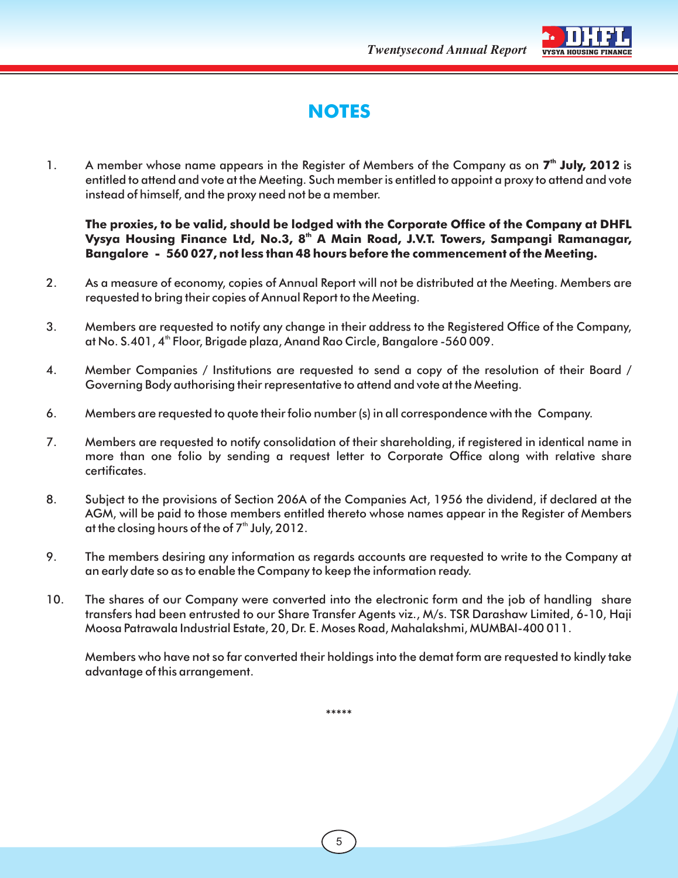**Twentysecond Annual Report** VYSYA HOUSING



## **NOTES**

1. A member whose name appears in the Register of Members of the Company as on 7<sup>th</sup> July, 2012 is entitled to attend and vote at the Meeting. Such member is entitled to appoint a proxy to attend and vote instead of himself, and the proxy need not be a member.

**The proxies, to be valid, should be lodged with the Corporate Office of the Company at DHFL th Vysya Housing Finance Ltd, No.3, 8 A Main Road, J.V.T. Towers, Sampangi Ramanagar, Bangalore - 560 027, not less than 48 hours before the commencement of the Meeting.**

- 2. As a measure of economy, copies of Annual Report will not be distributed at the Meeting. Members are requested to bring their copies of Annual Report to the Meeting.
- 3. Members are requested to notify any change in their address to the Registered Office of the Company, th at No. S.401, 4 Floor, Brigade plaza, Anand Rao Circle, Bangalore -560 009.
- 4. Member Companies / Institutions are requested to send a copy of the resolution of their Board / Governing Body authorising their representative to attend and vote at the Meeting.
- 6. Members are requested to quote their folio number (s) in all correspondence with the Company.
- 7. Members are requested to notify consolidation of their shareholding, if registered in identical name in more than one folio by sending a request letter to Corporate Office along with relative share certificates.
- 8. Subject to the provisions of Section 206A of the Companies Act, 1956 the dividend, if declared at the AGM, will be paid to those members entitled thereto whose names appear in the Register of Members at the closing hours of the of  $7<sup>th</sup>$  July, 2012.
- 9. The members desiring any information as regards accounts are requested to write to the Company at an early date so as to enable the Company to keep the information ready.
- 10. The shares of our Company were converted into the electronic form and the job of handling share transfers had been entrusted to our Share Transfer Agents viz., M/s. TSR Darashaw Limited, 6-10, Haji Moosa Patrawala Industrial Estate, 20, Dr. E. Moses Road, Mahalakshmi, MUMBAI-400 011.

Members who have not so far converted their holdings into the demat form are requested to kindly take advantage of this arrangement.

\*\*\*\*\*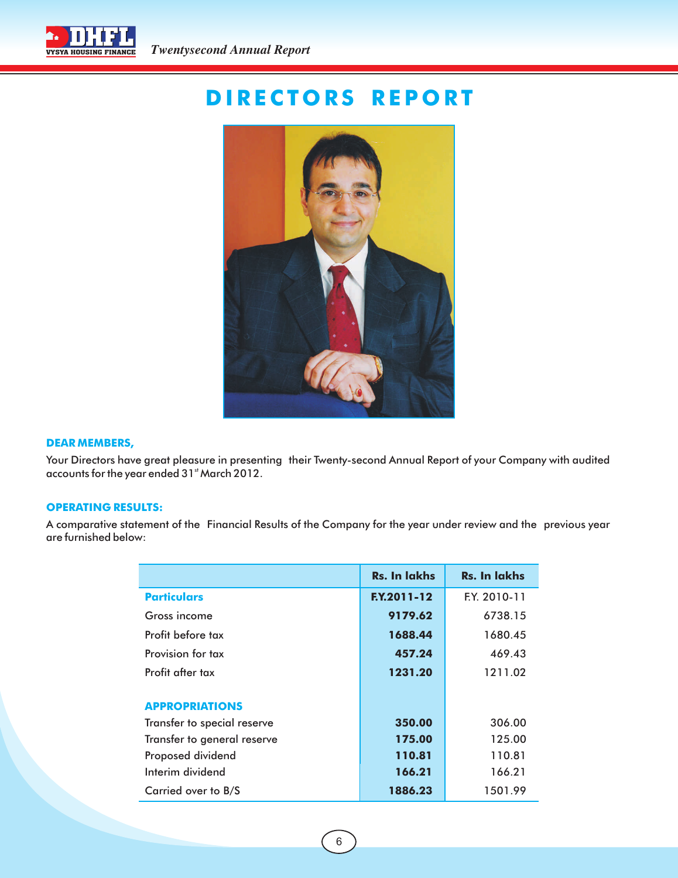

## **D IRE C TO RS RE P O RT**



#### **DEAR MEMBERS,**

Your Directors have great pleasure in presenting their Twenty-second Annual Report of your Company with audited accounts for the year ended 31<sup>st</sup> March 2012.

#### **OPERATING RESULTS:**

A comparative statement of the Financial Results of the Company for the year under review and the previous year are furnished below:

|                             | <b>Rs. In lakhs</b> | <b>Rs. In lakhs</b> |
|-----------------------------|---------------------|---------------------|
| <b>Particulars</b>          | <b>F.Y.2011-12</b>  | F.Y. 2010-11        |
| Gross income                | 9179.62             | 6738.15             |
| Profit before tax           | 1688.44             | 1680.45             |
| Provision for tax           | 457.24              | 469.43              |
| Profit after tax            | 1231.20             | 1211.02             |
| <b>APPROPRIATIONS</b>       |                     |                     |
| Transfer to special reserve | 350.00              | 306.00              |
| Transfer to general reserve | 175.00              | 125.00              |
| Proposed dividend           | 110.81              | 110.81              |
| Interim dividend            | 166.21              | 166.21              |
| Carried over to B/S         | 1886.23             | 1501.99             |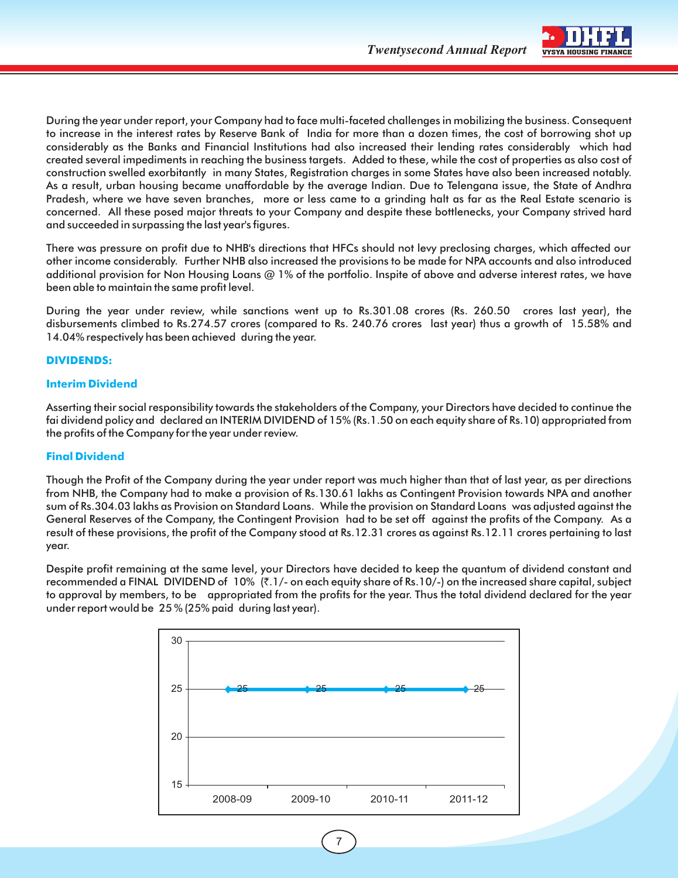

During the year under report, your Company had to face multi-faceted challenges in mobilizing the business. Consequent to increase in the interest rates by Reserve Bank of India for more than a dozen times, the cost of borrowing shot up considerably as the Banks and Financial Institutions had also increased their lending rates considerably which had created several impediments in reaching the business targets. Added to these, while the cost of properties as also cost of construction swelled exorbitantly in many States, Registration charges in some States have also been increased notably. As a result, urban housing became unaffordable by the average Indian. Due to Telengana issue, the State of Andhra Pradesh, where we have seven branches, more or less came to a grinding halt as far as the Real Estate scenario is concerned. All these posed major threats to your Company and despite these bottlenecks, your Company strived hard and succeeded in surpassing the last year's figures.

There was pressure on profit due to NHB's directions that HFCs should not levy preclosing charges, which affected our other income considerably. Further NHB also increased the provisions to be made for NPA accounts and also introduced additional provision for Non Housing Loans @ 1% of the portfolio. Inspite of above and adverse interest rates, we have been able to maintain the same profit level.

During the year under review, while sanctions went up to Rs.301.08 crores (Rs. 260.50 crores last year), the disbursements climbed to Rs.274.57 crores (compared to Rs. 240.76 crores last year) thus a growth of 15.58% and 14.04% respectively has been achieved during the year.

#### **DIVIDENDS:**

#### **Interim Dividend**

Asserting their social responsibility towards the stakeholders of the Company, your Directors have decided to continue the fai dividend policy and declared an INTERIM DIVIDEND of 15% (Rs.1.50 on each equity share of Rs.10) appropriated from the profits of the Company for the year under review.

#### **Final Dividend**

Though the Profit of the Company during the year under report was much higher than that of last year, as per directions from NHB, the Company had to make a provision of Rs.130.61 lakhs as Contingent Provision towards NPA and another sum of Rs.304.03 lakhs as Provision on Standard Loans. While the provision on Standard Loans was adjusted against the General Reserves of the Company, the Contingent Provision had to be set off against the profits of the Company. As a result of these provisions, the profit of the Company stood at Rs.12.31 crores as against Rs.12.11 crores pertaining to last year.

Despite profit remaining at the same level, your Directors have decided to keep the quantum of dividend constant and recommended a FINAL DIVIDEND of 10% ( $\bar{\tau}$ .1/- on each equity share of Rs.10/-) on the increased share capital, subject to approval by members, to be appropriated from the profits for the year. Thus the total dividend declared for the year under report would be 25 % (25% paid during last year).



7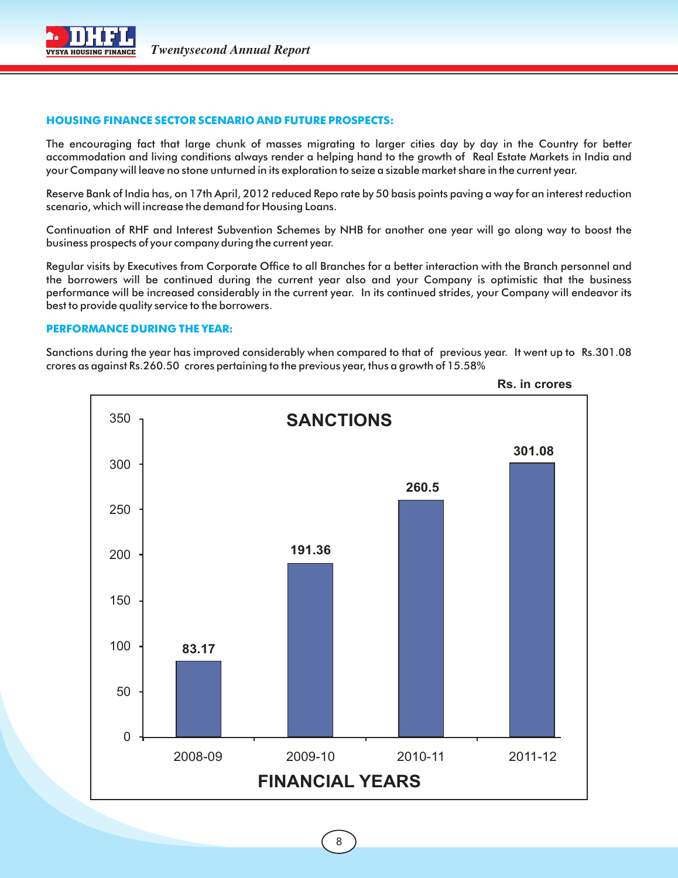

#### **HOUSING FINANCE SECTOR SCENARIO AND FUTURE PROSPECTS:**

The encouraging fact that large chunk of masses migrating to larger cities day by day in the Country for better accommodation and living conditions always render a helping hand to the growth of Real Estate Markets in India and your Company will leave no stone unturned in its exploration to seize a sizable market share in the current year.

Reserve Bank of India has, on 17th April, 2012 reduced Repo rate by 50 basis points paving a way for an interest reduction scenario, which will increase the demand for Housing Loans.

Continuation of RHF and Interest Subvention Schemes by NHB for another one year will go along way to boost the business prospects of your company during the current year.

Regular visits by Executives from Corporate Office to all Branches for a better interaction with the Branch personnel and the borrowers will be continued during the current year also and your Company is optimistic that the business performance will be increased considerably in the current year. In its continued strides, your Company will endeavor its best to provide quality service to the borrowers.

#### **PERFORMANCE DURING THE YEAR:**

Sanctions during the year has improved considerably when compared to that of previous year. It went up to Rs.301.08 crores as against Rs.260.50 crores pertaining to the previous year, thus a growth of 15.58%



**Rs. in crores**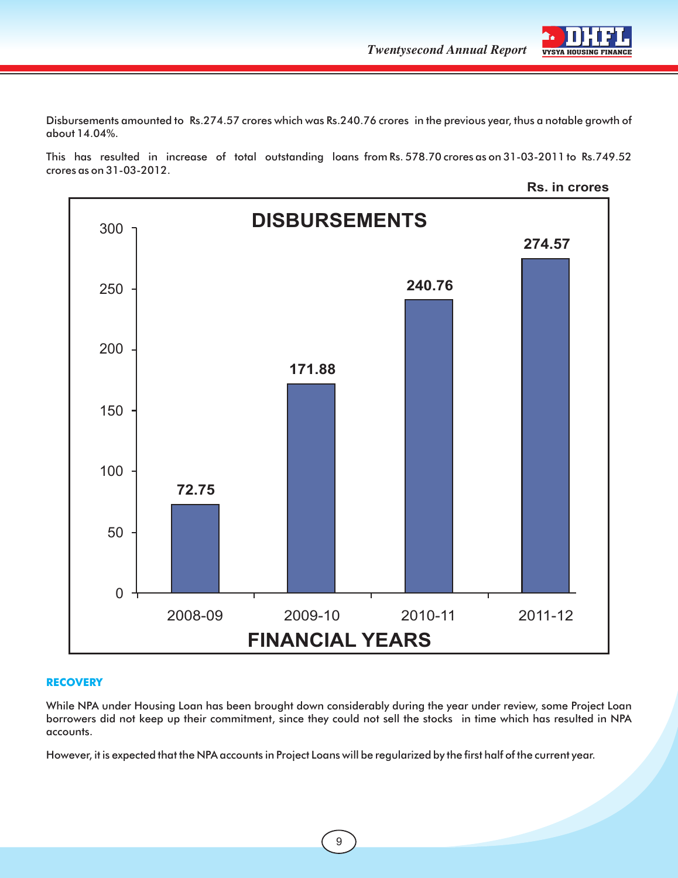Disbursements amounted to Rs.274.57 crores which was Rs.240.76 crores in the previous year, thus a notable growth of about 14.04%.

This has resulted in increase of total outstanding loans from Rs. 578.70 crores as on 31-03-2011 to Rs.749.52 crores as on 31-03-2012.



#### **RECOVERY**

While NPA under Housing Loan has been brought down considerably during the year under review, some Project Loan borrowers did not keep up their commitment, since they could not sell the stocks in time which has resulted in NPA accounts.

However, it is expected that the NPA accounts in Project Loans will be regularized by the first half of the current year.

9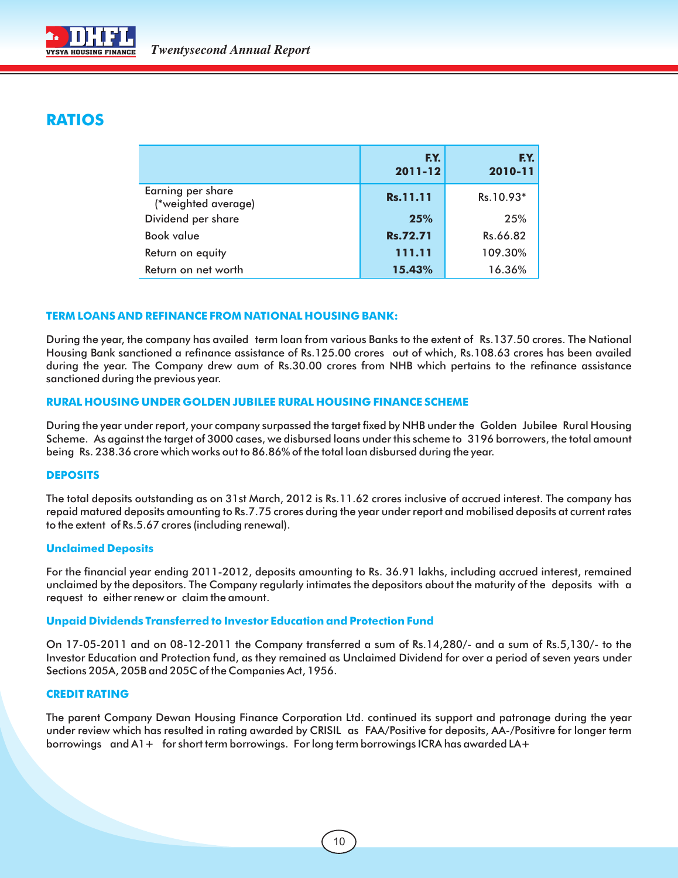

## **RATIOS**

|                                          | F.Y.<br>2011-12 | F.Y.<br>2010-11 |
|------------------------------------------|-----------------|-----------------|
| Earning per share<br>(*weighted average) | Rs.11.11        | Rs.10.93*       |
| Dividend per share                       | 25%             | 25%             |
| <b>Book value</b>                        | <b>Rs.72.71</b> | Rs.66.82        |
| Return on equity                         | 111.11          | 109.30%         |
| Return on net worth                      | 15.43%          | 16.36%          |

#### **TERM LOANS AND REFINANCE FROM NATIONAL HOUSING BANK:**

During the year, the company has availed term loan from various Banks to the extent of Rs.137.50 crores. The National Housing Bank sanctioned a refinance assistance of Rs.125.00 crores out of which, Rs.108.63 crores has been availed during the year. The Company drew aum of Rs.30.00 crores from NHB which pertains to the refinance assistance sanctioned during the previous year.

#### **RURAL HOUSING UNDER GOLDEN JUBILEE RURAL HOUSING FINANCE SCHEME**

During the year under report, your company surpassed the target fixed by NHB under the Golden Jubilee Rural Housing Scheme. As against the target of 3000 cases, we disbursed loans under this scheme to 3196 borrowers, the total amount being Rs. 238.36 crore which works out to 86.86% of the total loan disbursed during the year.

#### **DEPOSITS**

The total deposits outstanding as on 31st March, 2012 is Rs.11.62 crores inclusive of accrued interest. The company has repaid matured deposits amounting to Rs.7.75 crores during the year under report and mobilised deposits at current rates to the extent of Rs.5.67 crores (including renewal).

#### **Unclaimed Deposits**

For the financial year ending 2011-2012, deposits amounting to Rs. 36.91 lakhs, including accrued interest, remained unclaimed by the depositors. The Company regularly intimates the depositors about the maturity of the deposits with a request to either renew or claim the amount.

#### **Unpaid Dividends Transferred to Investor Education and Protection Fund**

On 17-05-2011 and on 08-12-2011 the Company transferred a sum of Rs.14,280/- and a sum of Rs.5,130/- to the Investor Education and Protection fund, as they remained as Unclaimed Dividend for over a period of seven years under Sections 205A, 205B and 205C of the Companies Act, 1956.

#### **CREDIT RATING**

The parent Company Dewan Housing Finance Corporation Ltd. continued its support and patronage during the year under review which has resulted in rating awarded by CRISIL as FAA/Positive for deposits, AA-/Positivre for longer term borrowings and A1+ for short term borrowings. For long term borrowings ICRA has awarded LA+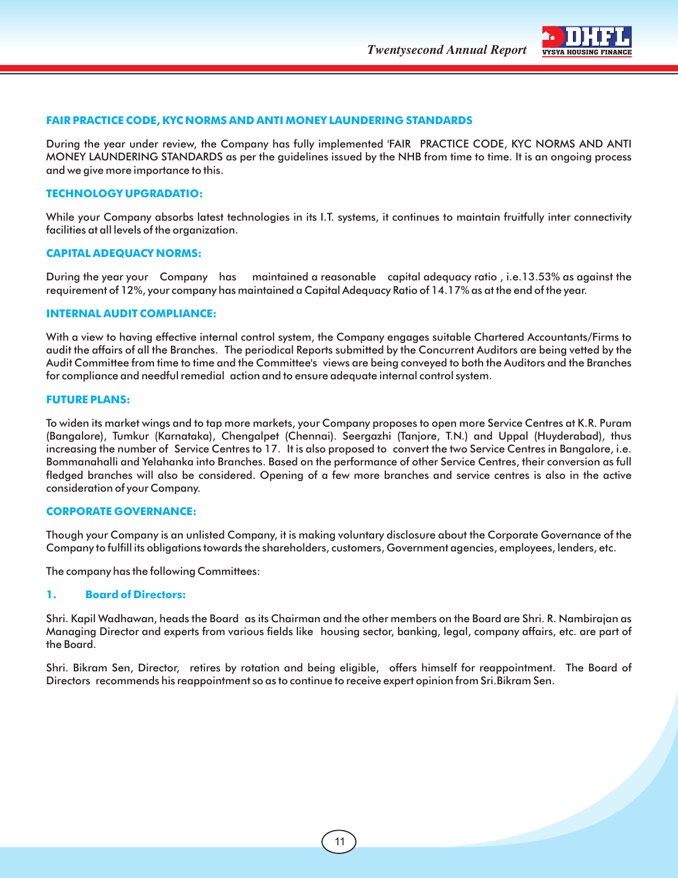

#### **FAIR PRACTICE CODE, KYC NORMS AND ANTI MONEY LAUNDERING STANDARDS**

During the year under review, the Company has fully implemented 'FAIR PRACTICE CODE, KYC NORMS AND ANTI MONEY LAUNDERING STANDARDS as per the guidelines issued by the NHB from time to time. It is an ongoing process and we give more importance to this.

#### **TECHNOLOGY UPGRADATIO:**

While your Company absorbs latest technologies in its I.T. systems, it continues to maintain fruitfully inter connectivity facilities at all levels of the organization.

#### **CAPITAL ADEQUACY NORMS:**

During the year your Company has maintained a reasonable capital adequacy ratio , i.e.13.53% as against the requirement of 12%, your company has maintained a Capital Adequacy Ratio of 14.17% as at the end of the year.

#### **INTERNAL AUDIT COMPLIANCE:**

With a view to having effective internal control system, the Company engages suitable Chartered Accountants/Firms to audit the affairs of all the Branches. The periodical Reports submitted by the Concurrent Auditors are being vetted by the Audit Committee from time to time and the Committee's views are being conveyed to both the Auditors and the Branches for compliance and needful remedial action and to ensure adequate internal control system.

#### **FUTURE PLANS:**

To widen its market wings and to tap more markets, your Company proposes to open more Service Centres at K.R. Puram (Bangalore), Tumkur (Karnataka), Chengalpet (Chennai). Seergazhi (Tanjore, T.N.) and Uppal (Huyderabad), thus increasing the number of Service Centres to 17. It is also proposed to convert the two Service Centres in Bangalore, i.e. Bommanahalli and Yelahanka into Branches. Based on the performance of other Service Centres, their conversion as full fledged branches will also be considered. Opening of a few more branches and service centres is also in the active consideration of your Company.

#### **CORPORATE GOVERNANCE:**

Though your Company is an unlisted Company, it is making voluntary disclosure about the Corporate Governance of the Company to fulfill its obligations towards the shareholders, customers, Government agencies, employees, lenders, etc.

The company has the following Committees:

#### **1. Board of Directors:**

Shri. Kapil Wadhawan, heads the Board as its Chairman and the other members on the Board are Shri. R. Nambirajan as Managing Director and experts from various fields like housing sector, banking, legal, company affairs, etc. are part of the Board.

Shri. Bikram Sen, Director, retires by rotation and being eligible, offers himself for reappointment. The Board of Directors recommends his reappointment so as to continue to receive expert opinion from Sri.Bikram Sen.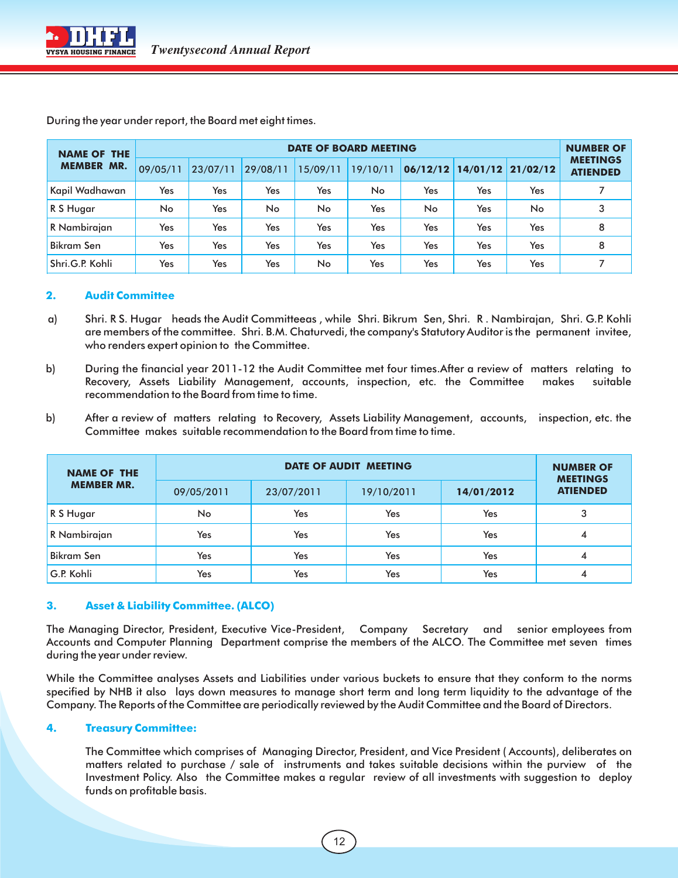| <b>DATE OF BOARD MEETING</b><br><b>NAME OF THE</b> |          |          |           |          |          | <b>NUMBER OF</b> |     |                   |                                    |
|----------------------------------------------------|----------|----------|-----------|----------|----------|------------------|-----|-------------------|------------------------------------|
| <b>MEMBER MR.</b>                                  | 09/05/11 | 23/07/11 | 29/08/11  | 15/09/11 | 19/10/11 | 06/12/12         |     | 14/01/12 21/02/12 | <b>MEETINGS</b><br><b>ATIENDED</b> |
| Kapil Wadhawan                                     | Yes      | Yes      | Yes       | Yes      | No       | Yes              | Yes | Yes               |                                    |
| R S Hugar                                          | No.      | Yes      | <b>No</b> | No.      | Yes      | No               | Yes | No                | 3                                  |
| R Nambirajan                                       | Yes      | Yes      | Yes       | Yes      | Yes      | Yes              | Yes | Yes               | 8                                  |
| <b>Bikram Sen</b>                                  | Yes      | Yes      | Yes       | Yes      | Yes      | <b>Yes</b>       | Yes | Yes               | 8                                  |
| Shri.G.P. Kohli                                    | Yes      | Yes      | Yes       | No.      | Yes      | Yes              | Yes | Yes               |                                    |

During the year under report, the Board met eight times.

#### **2. Audit Committee**

- a) Shri. R S. Hugar heads the Audit Committeeas , while Shri. Bikrum Sen, Shri. R . Nambirajan, Shri. G.P. Kohli are members of the committee. Shri. B.M. Chaturvedi, the company's Statutory Auditor is the permanent invitee, who renders expert opinion to the Committee.
- b) During the financial year 2011-12 the Audit Committee met four times.After a review of matters relating to Recovery, Assets Liability Management, accounts, inspection, etc. the Committee makes suitable recommendation to the Board from time to time.
- b) After a review of matters relating to Recovery, Assets Liability Management, accounts, inspection, etc. the Committee makes suitable recommendation to the Board from time to time.

| <b>NAME OF THE</b> |            | <b>NUMBER OF</b><br><b>MEETINGS</b> |            |            |                 |
|--------------------|------------|-------------------------------------|------------|------------|-----------------|
| <b>MEMBER MR.</b>  | 09/05/2011 | 23/07/2011                          | 19/10/2011 | 14/01/2012 | <b>ATIENDED</b> |
| R S Hugar          | No         | Yes                                 | Yes        | Yes        | 3               |
| R Nambirajan       | Yes        | Yes                                 | Yes        | Yes        | 4               |
| <b>Bikram Sen</b>  | Yes        | Yes                                 | Yes        | Yes        | 4               |
| G.P. Kohli         | Yes        | Yes                                 | Yes        | Yes        | 4               |

#### **3. Asset & Liability Committee. (ALCO)**

The Managing Director, President, Executive Vice-President, Company Secretary and senior employees from Accounts and Computer Planning Department comprise the members of the ALCO. The Committee met seven times during the year under review.

While the Committee analyses Assets and Liabilities under various buckets to ensure that they conform to the norms specified by NHB it also lays down measures to manage short term and long term liquidity to the advantage of the Company. The Reports of the Committee are periodically reviewed by the Audit Committee and the Board of Directors.

#### **4. Treasury Committee:**

The Committee which comprises of Managing Director, President, and Vice President ( Accounts), deliberates on matters related to purchase / sale of instruments and takes suitable decisions within the purview of the Investment Policy. Also the Committee makes a regular review of all investments with suggestion to deploy funds on profitable basis.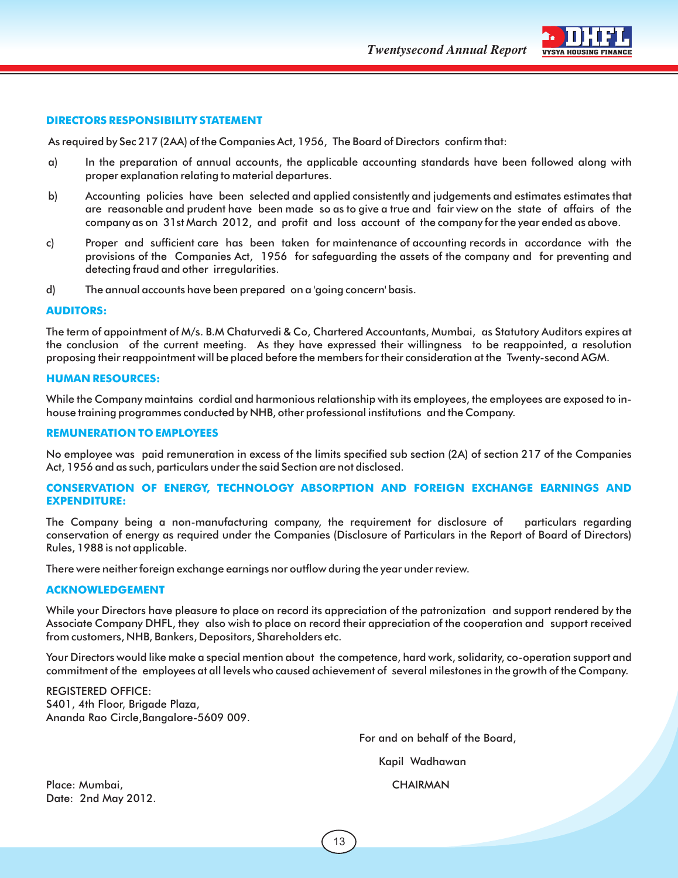**Twentysecond Annual Report** VYSYA HOUSING



#### **DIRECTORS RESPONSIBILITY STATEMENT**

As required by Sec 217 (2AA) of the Companies Act, 1956, The Board of Directors confirm that:

- a) In the preparation of annual accounts, the applicable accounting standards have been followed along with proper explanation relating to material departures.
- b) Accounting policies have been selected and applied consistently and judgements and estimates estimates that are reasonable and prudent have been made so as to give a true and fair view on the state of affairs of the company as on 31st March 2012, and profit and loss account of the company for the year ended as above.
- c) Proper and sufficient care has been taken for maintenance of accounting records in accordance with the provisions of the Companies Act, 1956 for safeguarding the assets of the company and for preventing and detecting fraud and other irregularities.
- d) The annual accounts have been prepared on a 'going concern' basis.

#### **AUDITORS:**

The term of appointment of M/s. B.M Chaturvedi & Co, Chartered Accountants, Mumbai, as Statutory Auditors expires at the conclusion of the current meeting. As they have expressed their willingness to be reappointed, a resolution proposing their reappointment will be placed before the members for their consideration at the Twenty-second AGM.

#### **HUMAN RESOURCES:**

While the Company maintains cordial and harmonious relationship with its employees, the employees are exposed to inhouse training programmes conducted by NHB, other professional institutions and the Company.

#### **REMUNERATION TO EMPLOYEES**

No employee was paid remuneration in excess of the limits specified sub section (2A) of section 217 of the Companies Act, 1956 and as such, particulars under the said Section are not disclosed.

#### **CONSERVATION OF ENERGY, TECHNOLOGY ABSORPTION AND FOREIGN EXCHANGE EARNINGS AND EXPENDITURE:**

The Company being a non-manufacturing company, the requirement for disclosure of particulars regarding conservation of energy as required under the Companies (Disclosure of Particulars in the Report of Board of Directors) Rules, 1988 is not applicable.

There were neither foreign exchange earnings nor outflow during the year under review.

#### **ACKNOWLEDGEMENT**

While your Directors have pleasure to place on record its appreciation of the patronization and support rendered by the Associate Company DHFL, they also wish to place on record their appreciation of the cooperation and support received from customers, NHB, Bankers, Depositors, Shareholders etc.

Your Directors would like make a special mention about the competence, hard work, solidarity, co-operation support and commitment of the employees at all levels who caused achievement of several milestones in the growth of the Company.

REGISTERED OFFICE: S401, 4th Floor, Brigade Plaza, Ananda Rao Circle,Bangalore-5609 009.

For and on behalf of the Board,

Kapil Wadhawan

Place: Mumbai, CHAIRMAN Date: 2nd May 2012.

13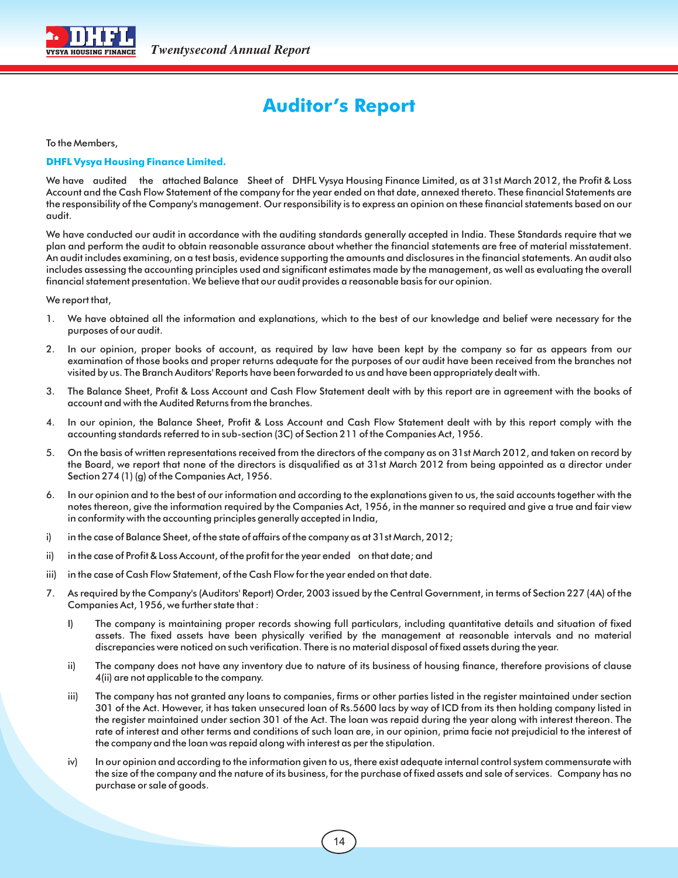

## **Auditor's Report**

To the Members,

#### **DHFL Vysya Housing Finance Limited.**

We have audited the attached Balance Sheet of DHFL Vysya Housing Finance Limited, as at 31st March 2012, the Profit & Loss Account and the Cash Flow Statement of the company for the year ended on that date, annexed thereto. These financial Statements are the responsibility of the Company's management. Our responsibility is to express an opinion on these financial statements based on our audit.

We have conducted our audit in accordance with the auditing standards generally accepted in India. These Standards require that we plan and perform the audit to obtain reasonable assurance about whether the financial statements are free of material misstatement. An audit includes examining, on a test basis, evidence supporting the amounts and disclosures in the financial statements. An audit also includes assessing the accounting principles used and significant estimates made by the management, as well as evaluating the overall financial statement presentation. We believe that our audit provides a reasonable basis for our opinion.

We report that,

- 1. We have obtained all the information and explanations, which to the best of our knowledge and belief were necessary for the purposes of our audit.
- 2. In our opinion, proper books of account, as required by law have been kept by the company so far as appears from our examination of those books and proper returns adequate for the purposes of our audit have been received from the branches not visited by us. The Branch Auditors' Reports have been forwarded to us and have been appropriately dealt with.
- 3. The Balance Sheet, Profit & Loss Account and Cash Flow Statement dealt with by this report are in agreement with the books of account and with the Audited Returns from the branches.
- 4. In our opinion, the Balance Sheet, Profit & Loss Account and Cash Flow Statement dealt with by this report comply with the accounting standards referred to in sub-section (3C) of Section 211 of the Companies Act, 1956.
- 5. On the basis of written representations received from the directors of the company as on 31st March 2012, and taken on record by the Board, we report that none of the directors is disqualified as at 31st March 2012 from being appointed as a director under Section 274 (1) (g) of the Companies Act, 1956.
- 6. In our opinion and to the best of our information and according to the explanations given to us, the said accounts together with the notes thereon, give the information required by the Companies Act, 1956, in the manner so required and give a true and fair view in conformity with the accounting principles generally accepted in India,
- i) in the case of Balance Sheet, of the state of affairs of the company as at 31st March, 2012;
- ii) in the case of Profit & Loss Account, of the profit for the year ended on that date; and
- iii) in the case of Cash Flow Statement, of the Cash Flow for the year ended on that date.
- 7. As required by the Company's (Auditors' Report) Order, 2003 issued by the Central Government, in terms of Section 227 (4A) of the Companies Act, 1956, we further state that :
	- I) The company is maintaining proper records showing full particulars, including quantitative details and situation of fixed assets. The fixed assets have been physically verified by the management at reasonable intervals and no material discrepancies were noticed on such verification. There is no material disposal of fixed assets during the year.
	- ii) The company does not have any inventory due to nature of its business of housing finance, therefore provisions of clause 4(ii) are not applicable to the company.
	- iii) The company has not granted any loans to companies, firms or other parties listed in the register maintained under section 301 of the Act. However, it has taken unsecured loan of Rs.5600 lacs by way of ICD from its then holding company listed in the register maintained under section 301 of the Act. The loan was repaid during the year along with interest thereon. The rate of interest and other terms and conditions of such loan are, in our opinion, prima facie not prejudicial to the interest of the company and the loan was repaid along with interest as per the stipulation.
	- iv) In our opinion and according to the information given to us, there exist adequate internal control system commensurate with the size of the company and the nature of its business, for the purchase of fixed assets and sale of services. Company has no purchase or sale of goods.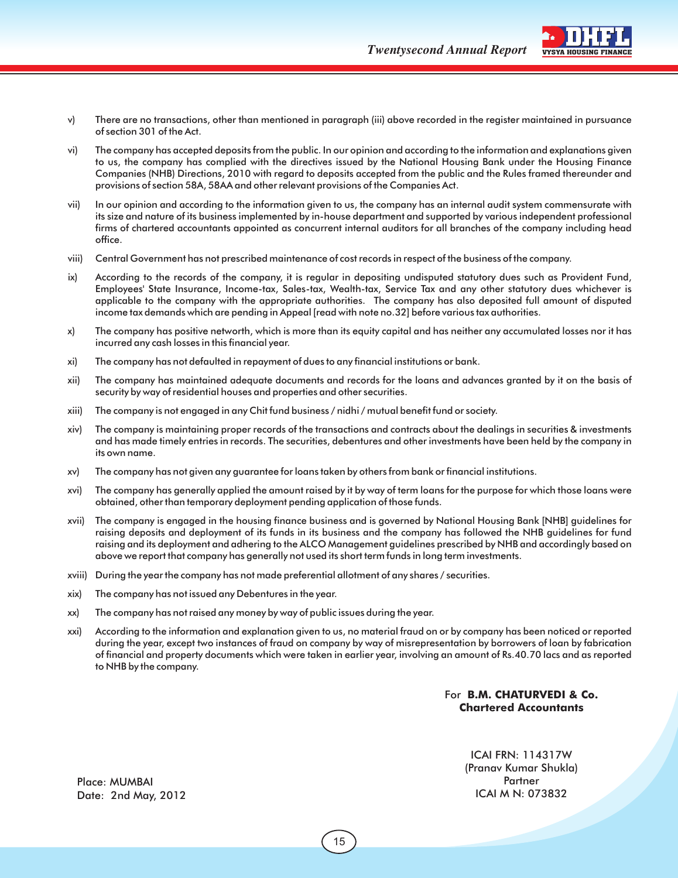**Twentysecond Annual Report** VYSYA HOUSING FINANCE



- v) There are no transactions, other than mentioned in paragraph (iii) above recorded in the register maintained in pursuance of section 301 of the Act.
- vi) The company has accepted deposits from the public. In our opinion and according to the information and explanations given to us, the company has complied with the directives issued by the National Housing Bank under the Housing Finance Companies (NHB) Directions, 2010 with regard to deposits accepted from the public and the Rules framed thereunder and provisions of section 58A, 58AA and other relevant provisions of the Companies Act.
- vii) In our opinion and according to the information given to us, the company has an internal audit system commensurate with its size and nature of its business implemented by in-house department and supported by various independent professional firms of chartered accountants appointed as concurrent internal auditors for all branches of the company including head office.
- viii) Central Government has not prescribed maintenance of cost records in respect of the business of the company.
- ix) According to the records of the company, it is regular in depositing undisputed statutory dues such as Provident Fund, Employees' State Insurance, Income-tax, Sales-tax, Wealth-tax, Service Tax and any other statutory dues whichever is applicable to the company with the appropriate authorities. The company has also deposited full amount of disputed income tax demands which are pending in Appeal [read with note no.32] before various tax authorities.
- x) The company has positive networth, which is more than its equity capital and has neither any accumulated losses nor it has incurred any cash losses in this financial year.
- xi) The company has not defaulted in repayment of dues to any financial institutions or bank.
- xii) The company has maintained adequate documents and records for the loans and advances granted by it on the basis of security by way of residential houses and properties and other securities.
- xiii) The company is not engaged in any Chit fund business / nidhi / mutual benefit fund or society.
- xiv) The company is maintaining proper records of the transactions and contracts about the dealings in securities & investments and has made timely entries in records. The securities, debentures and other investments have been held by the company in its own name.
- xv) The company has not given any guarantee for loans taken by others from bank or financial institutions.
- xvi) The company has generally applied the amount raised by it by way of term loans for the purpose for which those loans were obtained, other than temporary deployment pending application of those funds.
- xvii) The company is engaged in the housing finance business and is governed by National Housing Bank [NHB] guidelines for raising deposits and deployment of its funds in its business and the company has followed the NHB guidelines for fund raising and its deployment and adhering to the ALCO Management guidelines prescribed by NHB and accordingly based on above we report that company has generally not used its short term funds in long term investments.
- xviii) During the year the company has not made preferential allotment of any shares / securities.
- xix) The company has not issued any Debentures in the year.
- xx) The company has not raised any money by way of public issues during the year.
- xxi) According to the information and explanation given to us, no material fraud on or by company has been noticed or reported during the year, except two instances of fraud on company by way of misrepresentation by borrowers of loan by fabrication of financial and property documents which were taken in earlier year, involving an amount of Rs.40.70 lacs and as reported to NHB by the company.

#### For **B.M. CHATURVEDI & Co. Chartered Accountants**

ICAI FRN: 114317W (Pranav Kumar Shukla) **Partner** ICAI M N: 073832

Place: MUMBAI Date: 2nd May, 2012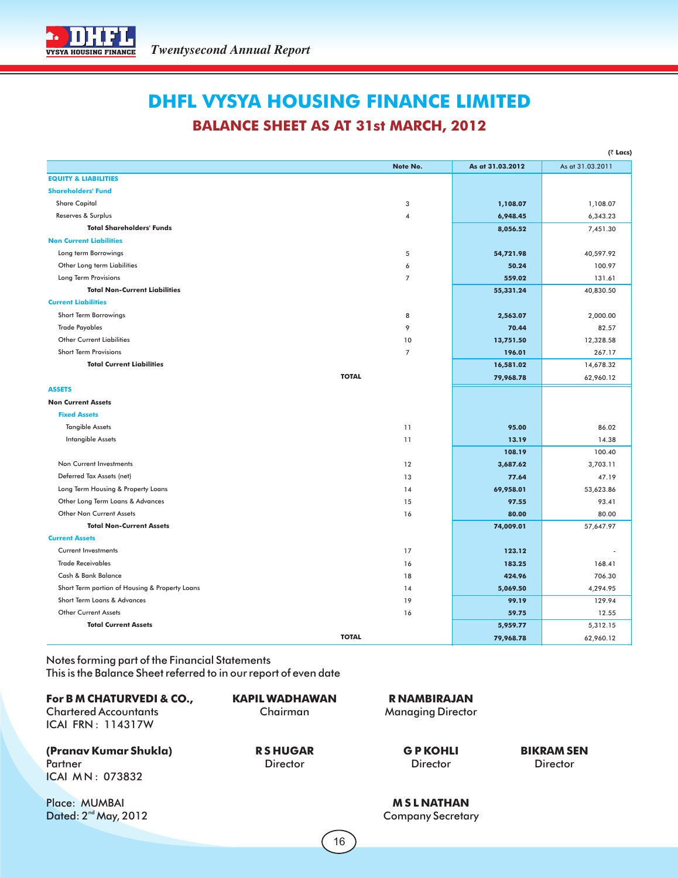

## **DHFL VYSYA HOUSING FINANCE LIMITED**

## **BALANCE SHEET AS AT 31st MARCH, 2012**

|                                                |                |                  | (₹ Lacs)         |
|------------------------------------------------|----------------|------------------|------------------|
|                                                | Note No.       | As at 31.03.2012 | As at 31.03.2011 |
| <b>EQUITY &amp; LIABILITIES</b>                |                |                  |                  |
| <b>Shareholders' Fund</b>                      |                |                  |                  |
| <b>Share Capital</b>                           | 3              | 1,108.07         | 1,108.07         |
| Reserves & Surplus                             | 4              | 6,948.45         | 6,343.23         |
| <b>Total Shareholders' Funds</b>               |                | 8,056.52         | 7,451.30         |
| <b>Non Current Liabilities</b>                 |                |                  |                  |
| Long term Borrowings                           | 5              | 54,721.98        | 40,597.92        |
| Other Long term Liabilities                    | 6              | 50.24            | 100.97           |
| Long Term Provisions                           | $\overline{7}$ | 559.02           | 131.61           |
| <b>Total Non-Current Liabilities</b>           |                | 55,331.24        | 40,830.50        |
| <b>Current Liabilities</b>                     |                |                  |                  |
| Short Term Borrowings                          | 8              | 2,563.07         | 2,000.00         |
| <b>Trade Payables</b>                          | 9              | 70.44            | 82.57            |
| <b>Other Current Liabilities</b>               | 10             | 13,751.50        | 12,328.58        |
| <b>Short Term Provisions</b>                   | $\overline{7}$ | 196.01           | 267.17           |
| <b>Total Current Liabilities</b>               |                | 16,581.02        | 14,678.32        |
|                                                | <b>TOTAL</b>   | 79,968.78        | 62,960.12        |
| <b>ASSETS</b>                                  |                |                  |                  |
| <b>Non Current Assets</b>                      |                |                  |                  |
| <b>Fixed Assets</b>                            |                |                  |                  |
| <b>Tangible Assets</b>                         | 11             | 95.00            | 86.02            |
| Intangible Assets                              | 11             | 13.19            | 14.38            |
|                                                |                | 108.19           | 100.40           |
| Non Current Investments                        | 12             | 3,687.62         | 3,703.11         |
| Deferred Tax Assets (net)                      | 13             | 77.64            | 47.19            |
| Long Term Housing & Property Loans             | 14             | 69,958.01        | 53,623.86        |
| Other Long Term Loans & Advances               | 15             | 97.55            | 93.41            |
| Other Non Current Assets                       | 16             | 80.00            | 80.00            |
| <b>Total Non-Current Assets</b>                |                | 74,009.01        | 57,647.97        |
| <b>Current Assets</b>                          |                |                  |                  |
| <b>Current Investments</b>                     | 17             | 123.12           |                  |
| <b>Trade Receivables</b>                       | 16             | 183.25           | 168.41           |
| Cash & Bank Balance                            | 18             | 424.96           | 706.30           |
| Short Term portion of Housing & Property Loans | 14             | 5,069.50         | 4,294.95         |
| Short Term Loans & Advances                    | 19             | 99.19            | 129.94           |
| Other Current Assets                           | 16             | 59.75            | 12.55            |
| <b>Total Current Assets</b>                    |                | 5,959.77         | 5,312.15         |
|                                                | <b>TOTAL</b>   | 79,968.78        | 62,960.12        |

Notes forming part of the Financial Statements This is the Balance Sheet referred to in our report of even date

| For B M CHATURVEDI & CO.,<br><b>Chartered Accountants</b><br><b>ICAI FRN: 114317W</b> | KAPIL WADHAWAN<br>Chairman        | <b>RNAMBIRAJAN</b><br><b>Managing Director</b> |                                      |
|---------------------------------------------------------------------------------------|-----------------------------------|------------------------------------------------|--------------------------------------|
| (Pranav Kumar Shukla)<br>Partner<br>ICAI MN: 073832                                   | <b>RSHUGAR</b><br><b>Director</b> | <b>GPKOHLI</b><br><b>Director</b>              | <b>BIKRAM SEN</b><br><b>Director</b> |
| Place: MUMBAI                                                                         |                                   | <b>MSLNATHAN</b>                               |                                      |

Dated:  $2^{nd}$  May, 2012 **Company Secretary** 

16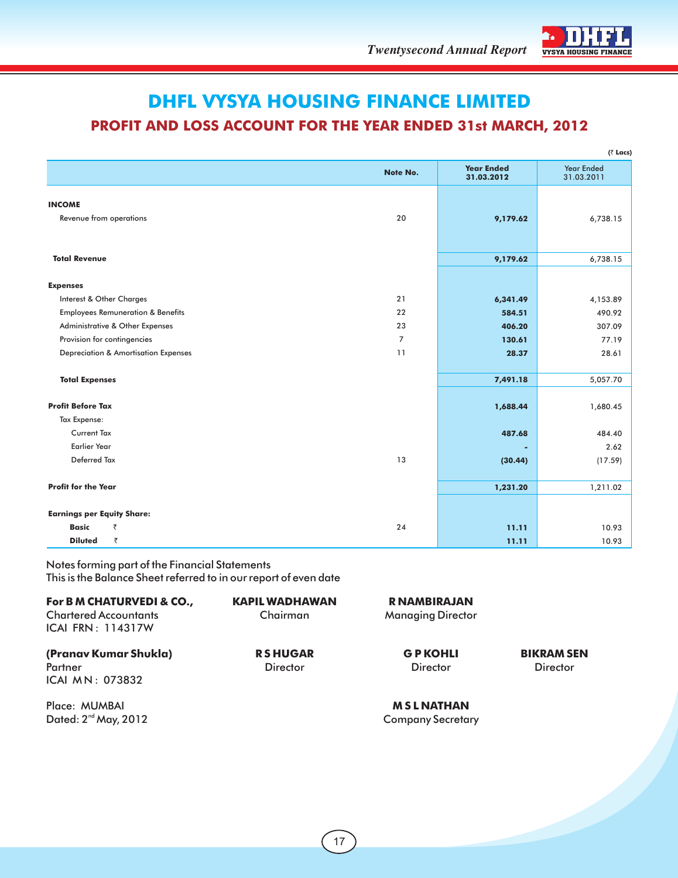

# **DHFL VYSYA HOUSING FINANCE LIMITED**

## **PROFIT AND LOSS ACCOUNT FOR THE YEAR ENDED 31st MARCH, 2012**

|                                                 |                |                                 | $($ ₹ Lacs)                     |
|-------------------------------------------------|----------------|---------------------------------|---------------------------------|
|                                                 | Note No.       | <b>Year Ended</b><br>31.03.2012 | <b>Year Ended</b><br>31.03.2011 |
| <b>INCOME</b><br>Revenue from operations        | 20             | 9,179.62                        | 6,738.15                        |
|                                                 |                |                                 |                                 |
| <b>Total Revenue</b>                            |                | 9,179.62                        | 6,738.15                        |
| <b>Expenses</b>                                 |                |                                 |                                 |
| Interest & Other Charges                        | 21             | 6,341.49                        | 4,153.89                        |
| <b>Employees Remuneration &amp; Benefits</b>    | 22             | 584.51                          | 490.92                          |
| Administrative & Other Expenses                 | 23             | 406.20                          | 307.09                          |
| Provision for contingencies                     | $\overline{7}$ | 130.61                          | 77.19                           |
| <b>Depreciation &amp; Amortisation Expenses</b> | 11             | 28.37                           | 28.61                           |
| <b>Total Expenses</b>                           |                | 7,491.18                        | 5,057.70                        |
| <b>Profit Before Tax</b>                        |                | 1,688.44                        | 1,680.45                        |
| Tax Expense:                                    |                |                                 |                                 |
| <b>Current Tax</b>                              |                | 487.68                          | 484.40                          |
| <b>Earlier Year</b>                             |                |                                 | 2.62                            |
| Deferred Tax                                    | 13             | (30.44)                         | (17.59)                         |
| <b>Profit for the Year</b>                      |                | 1,231.20                        | 1,211.02                        |
| <b>Earnings per Equity Share:</b>               |                |                                 |                                 |
| <b>Basic</b><br>₹                               | 24             | 11.11                           | 10.93                           |
| ₹<br><b>Diluted</b>                             |                | 11.11                           | 10.93                           |
|                                                 |                |                                 |                                 |

Notes forming part of the Financial Statements This is the Balance Sheet referred to in our report of even date

| For B M CHATURVEDI & CO.,<br><b>Chartered Accountants</b><br><b>ICAI FRN: 114317W</b> | <b>KAPIL WADHAWAN</b><br>Chairman | R NAMBIRAJAN<br><b>Managing Director</b> |                                      |
|---------------------------------------------------------------------------------------|-----------------------------------|------------------------------------------|--------------------------------------|
| (Pranav Kumar Shukla)<br>Partner<br>ICAI MN: 073832                                   | <b>RSHUGAR</b><br><b>Director</b> | <b>GPKOHLI</b><br><b>Director</b>        | <b>BIKRAM SEN</b><br><b>Director</b> |
| Place: MUMBAI                                                                         |                                   | <b>MSLNATHAN</b>                         |                                      |

Dated:  $2^{nd}$  May, 2012 **Company Secretary**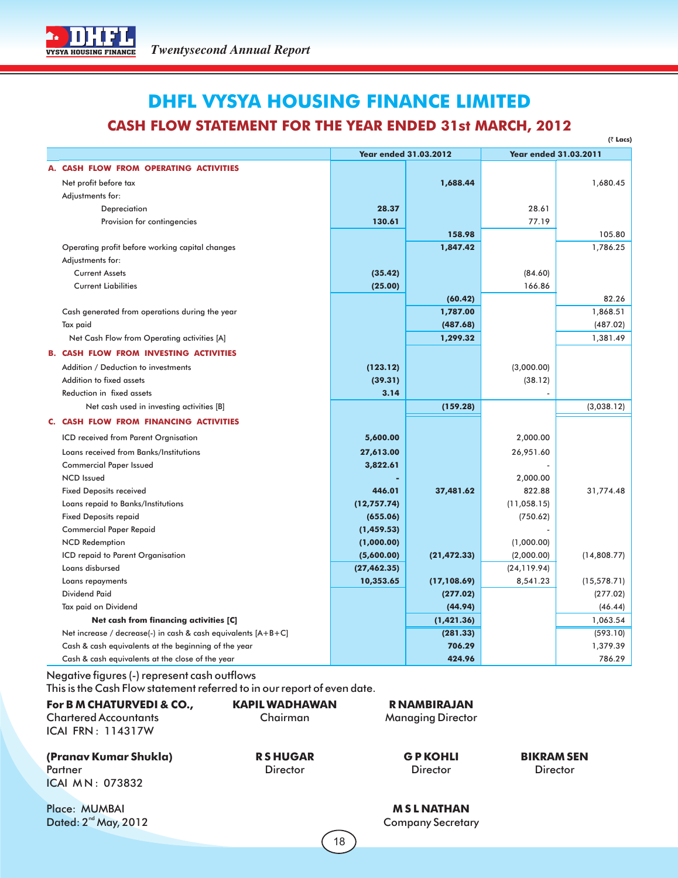## **DHFL VYSYA HOUSING FINANCE LIMITED CASH FLOW STATEMENT FOR THE YEAR ENDED 31st MARCH, 2012**

| (₹ Lacs)                                                      |                              |              |                              |              |
|---------------------------------------------------------------|------------------------------|--------------|------------------------------|--------------|
|                                                               | <b>Year ended 31.03.2012</b> |              | <b>Year ended 31.03.2011</b> |              |
| A. CASH FLOW FROM OPERATING ACTIVITIES                        |                              |              |                              |              |
| Net profit before tax                                         |                              | 1,688.44     |                              | 1,680.45     |
| Adjustments for:                                              |                              |              |                              |              |
| Depreciation                                                  | 28.37                        |              | 28.61                        |              |
| Provision for contingencies                                   | 130.61                       |              | 77.19                        |              |
|                                                               |                              | 158.98       |                              | 105.80       |
| Operating profit before working capital changes               |                              | 1,847.42     |                              | 1,786.25     |
| Adjustments for:                                              |                              |              |                              |              |
| <b>Current Assets</b>                                         | (35.42)                      |              | (84.60)                      |              |
| <b>Current Liabilities</b>                                    | (25.00)                      |              | 166.86                       |              |
|                                                               |                              | (60.42)      |                              | 82.26        |
| Cash generated from operations during the year                |                              | 1,787.00     |                              | 1,868.51     |
| Tax paid                                                      |                              | (487.68)     |                              | (487.02)     |
| Net Cash Flow from Operating activities [A]                   |                              | 1,299.32     |                              | 1,381.49     |
| <b>B. CASH FLOW FROM INVESTING ACTIVITIES</b>                 |                              |              |                              |              |
| Addition / Deduction to investments                           | (123.12)                     |              | (3,000.00)                   |              |
| Addition to fixed assets                                      | (39.31)                      |              | (38.12)                      |              |
| Reduction in fixed assets                                     | 3.14                         |              |                              |              |
| Net cash used in investing activities [B]                     |                              | (159.28)     |                              | (3,038.12)   |
| C. CASH FLOW FROM FINANCING ACTIVITIES                        |                              |              |                              |              |
| ICD received from Parent Orgnisation                          | 5,600.00                     |              | 2,000.00                     |              |
| Loans received from Banks/Institutions                        | 27,613.00                    |              | 26,951.60                    |              |
| <b>Commercial Paper Issued</b>                                | 3,822.61                     |              |                              |              |
| <b>NCD</b> Issued                                             |                              |              | 2,000.00                     |              |
| <b>Fixed Deposits received</b>                                | 446.01                       | 37,481.62    | 822.88                       | 31,774.48    |
| Loans repaid to Banks/Institutions                            | (12, 757.74)                 |              | (11, 058.15)                 |              |
| <b>Fixed Deposits repaid</b>                                  | (655.06)                     |              | (750.62)                     |              |
| <b>Commercial Paper Repaid</b>                                | (1,459.53)                   |              |                              |              |
| <b>NCD Redemption</b>                                         | (1,000.00)                   |              | (1,000.00)                   |              |
| ICD repaid to Parent Organisation                             | (5,600.00)                   | (21, 472.33) | (2,000.00)                   | (14,808.77)  |
| Loans disbursed                                               | (27, 462.35)                 |              | (24, 119.94)                 |              |
| Loans repayments                                              | 10,353.65                    | (17, 108.69) | 8,541.23                     | (15, 578.71) |
| <b>Dividend Paid</b>                                          |                              | (277.02)     |                              | (277.02)     |
| Tax paid on Dividend                                          |                              | (44.94)      |                              | (46.44)      |
| Net cash from financing activities [C]                        |                              | (1,421.36)   |                              | 1,063.54     |
| Net increase / decrease(-) in cash & cash equivalents [A+B+C] |                              | (281.33)     |                              | (593.10)     |
| Cash & cash equivalents at the beginning of the year          |                              | 706.29       |                              | 1,379.39     |
| Cash & cash equivalents at the close of the year              |                              | 424.96       |                              | 786.29       |

### Negative figures (-) represent cash outflows

This is the Cash Flow statement referred to in our report of even date.

| For B M CHATURVEDI & CO.,<br><b>Chartered Accountants</b><br><b>ICAI FRN: 114317W</b> | <b>KAPIL WADHAWAN</b><br>Chairman | R NAMBIRAJAN<br><b>Managing Director</b> |                   |
|---------------------------------------------------------------------------------------|-----------------------------------|------------------------------------------|-------------------|
| (Pranav Kumar Shukla)                                                                 | <b>RSHUGAR</b>                    | <b>GP KOHLI</b>                          | <b>BIKRAM SEN</b> |
| Partner                                                                               | <b>Director</b>                   | <b>Director</b>                          | <b>Director</b>   |
| ICAI MN: 073832                                                                       |                                   |                                          |                   |
| Place: MUMBAI                                                                         |                                   | <b>MSLNATHAN</b>                         |                   |
| Dated: $2^{nd}$ May, 2012                                                             |                                   | <b>Company Secretary</b>                 |                   |

18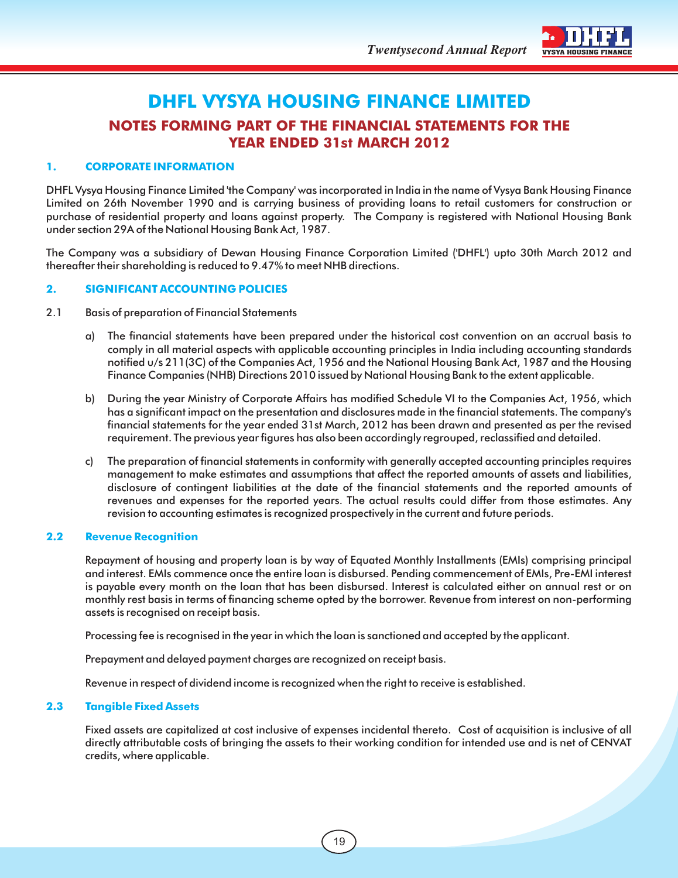

## **DHFL VYSYA HOUSING FINANCE LIMITED NOTES FORMING PART OF THE FINANCIAL STATEMENTS FOR THE YEAR ENDED 31st MARCH 2012**

#### **1. CORPORATE INFORMATION**

DHFL Vysya Housing Finance Limited 'the Company' was incorporated in India in the name of Vysya Bank Housing Finance Limited on 26th November 1990 and is carrying business of providing loans to retail customers for construction or purchase of residential property and loans against property. The Company is registered with National Housing Bank under section 29A of the National Housing Bank Act, 1987.

The Company was a subsidiary of Dewan Housing Finance Corporation Limited ('DHFL') upto 30th March 2012 and thereafter their shareholding is reduced to 9.47% to meet NHB directions.

#### **2. SIGNIFICANT ACCOUNTING POLICIES**

- 2.1 Basis of preparation of Financial Statements
	- a) The financial statements have been prepared under the historical cost convention on an accrual basis to comply in all material aspects with applicable accounting principles in India including accounting standards notified u/s 211(3C) of the Companies Act, 1956 and the National Housing Bank Act, 1987 and the Housing Finance Companies (NHB) Directions 2010 issued by National Housing Bank to the extent applicable.
	- b) During the year Ministry of Corporate Affairs has modified Schedule VI to the Companies Act, 1956, which has a significant impact on the presentation and disclosures made in the financial statements. The company's financial statements for the year ended 31st March, 2012 has been drawn and presented as per the revised requirement. The previous year figures has also been accordingly regrouped, reclassified and detailed.
	- c) The preparation of financial statements in conformity with generally accepted accounting principles requires management to make estimates and assumptions that affect the reported amounts of assets and liabilities, disclosure of contingent liabilities at the date of the financial statements and the reported amounts of revenues and expenses for the reported years. The actual results could differ from those estimates. Any revision to accounting estimates is recognized prospectively in the current and future periods.

#### **2.2 Revenue Recognition**

Repayment of housing and property loan is by way of Equated Monthly Installments (EMIs) comprising principal and interest. EMIs commence once the entire loan is disbursed. Pending commencement of EMIs, Pre-EMI interest is payable every month on the loan that has been disbursed. Interest is calculated either on annual rest or on monthly rest basis in terms of financing scheme opted by the borrower. Revenue from interest on non-performing assets is recognised on receipt basis.

Processing fee is recognised in the year in which the loan is sanctioned and accepted by the applicant.

Prepayment and delayed payment charges are recognized on receipt basis.

Revenue in respect of dividend income is recognized when the right to receive is established.

#### **2.3 Tangible Fixed Assets**

Fixed assets are capitalized at cost inclusive of expenses incidental thereto. Cost of acquisition is inclusive of all directly attributable costs of bringing the assets to their working condition for intended use and is net of CENVAT credits, where applicable.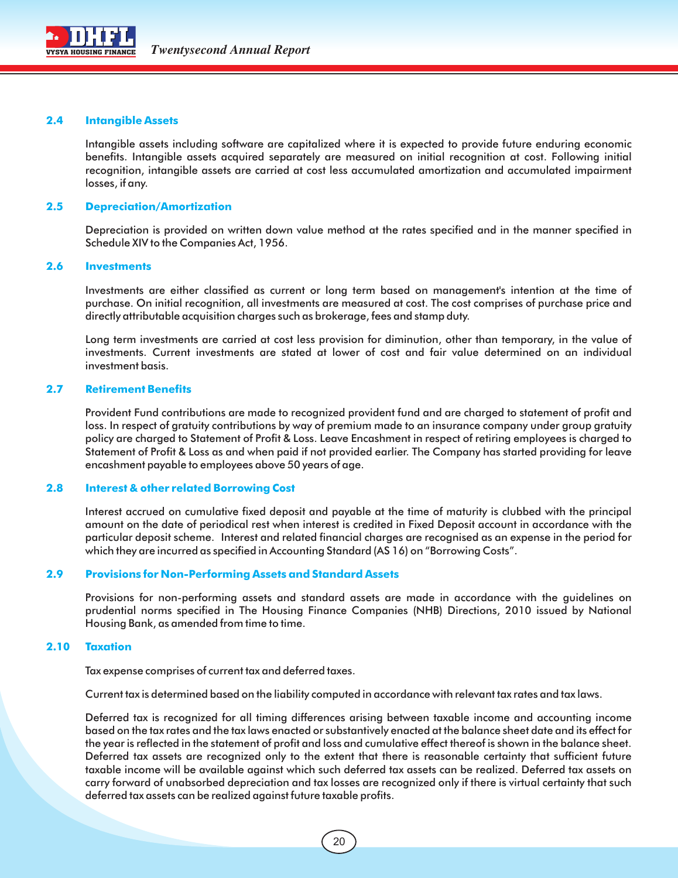

#### **2.4 Intangible Assets**

Intangible assets including software are capitalized where it is expected to provide future enduring economic benefits. Intangible assets acquired separately are measured on initial recognition at cost. Following initial recognition, intangible assets are carried at cost less accumulated amortization and accumulated impairment losses, if any.

#### **2.5 Depreciation/Amortization**

Depreciation is provided on written down value method at the rates specified and in the manner specified in Schedule XIV to the Companies Act, 1956.

#### **2.6 Investments**

Investments are either classified as current or long term based on management's intention at the time of purchase. On initial recognition, all investments are measured at cost. The cost comprises of purchase price and directly attributable acquisition charges such as brokerage, fees and stamp duty.

Long term investments are carried at cost less provision for diminution, other than temporary, in the value of investments. Current investments are stated at lower of cost and fair value determined on an individual investment basis.

#### **2.7 Retirement Benefits**

Provident Fund contributions are made to recognized provident fund and are charged to statement of profit and loss. In respect of gratuity contributions by way of premium made to an insurance company under group gratuity policy are charged to Statement of Profit & Loss. Leave Encashment in respect of retiring employees is charged to Statement of Profit & Loss as and when paid if not provided earlier. The Company has started providing for leave encashment payable to employees above 50 years of age.

#### **2.8 Interest & other related Borrowing Cost**

Interest accrued on cumulative fixed deposit and payable at the time of maturity is clubbed with the principal amount on the date of periodical rest when interest is credited in Fixed Deposit account in accordance with the particular deposit scheme. Interest and related financial charges are recognised as an expense in the period for which they are incurred as specified in Accounting Standard (AS 16) on "Borrowing Costs".

#### **2.9 Provisions for Non-Performing Assets and Standard Assets**

Provisions for non-performing assets and standard assets are made in accordance with the guidelines on prudential norms specified in The Housing Finance Companies (NHB) Directions, 2010 issued by National Housing Bank, as amended from time to time.

#### **2.10 Taxation**

Tax expense comprises of current tax and deferred taxes.

Current tax is determined based on the liability computed in accordance with relevant tax rates and tax laws.

Deferred tax is recognized for all timing differences arising between taxable income and accounting income based on the tax rates and the tax laws enacted or substantively enacted at the balance sheet date and its effect for the year is reflected in the statement of profit and loss and cumulative effect thereof is shown in the balance sheet. Deferred tax assets are recognized only to the extent that there is reasonable certainty that sufficient future taxable income will be available against which such deferred tax assets can be realized. Deferred tax assets on carry forward of unabsorbed depreciation and tax losses are recognized only if there is virtual certainty that such deferred tax assets can be realized against future taxable profits.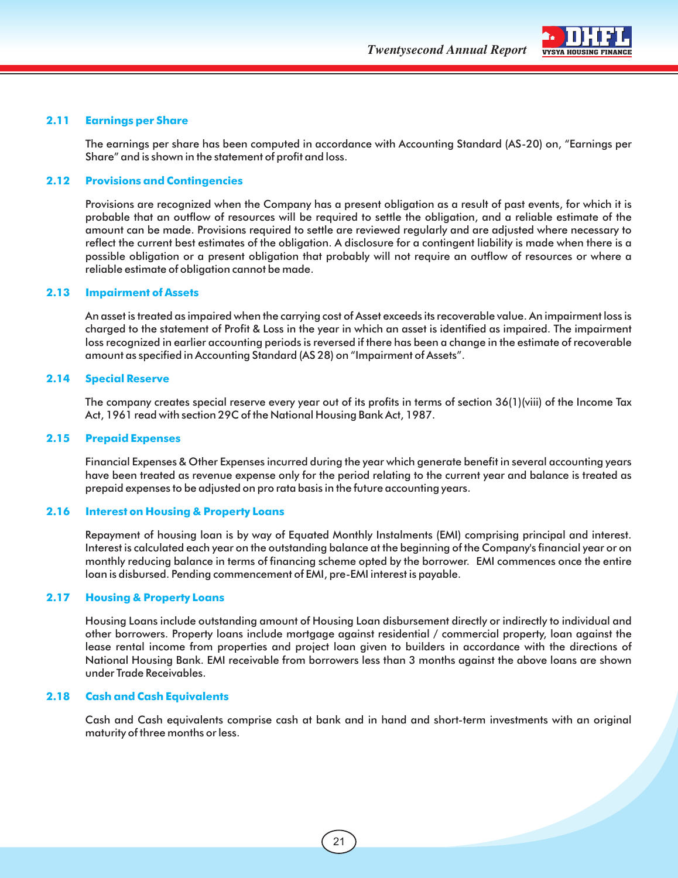

#### **2.11 Earnings per Share**

The earnings per share has been computed in accordance with Accounting Standard (AS-20) on, "Earnings per Share" and is shown in the statement of profit and loss.

#### **2.12 Provisions and Contingencies**

Provisions are recognized when the Company has a present obligation as a result of past events, for which it is probable that an outflow of resources will be required to settle the obligation, and a reliable estimate of the amount can be made. Provisions required to settle are reviewed regularly and are adjusted where necessary to reflect the current best estimates of the obligation. A disclosure for a contingent liability is made when there is a possible obligation or a present obligation that probably will not require an outflow of resources or where a reliable estimate of obligation cannot be made.

#### **2.13 Impairment of Assets**

An asset is treated as impaired when the carrying cost of Asset exceeds its recoverable value. An impairment loss is charged to the statement of Profit & Loss in the year in which an asset is identified as impaired. The impairment loss recognized in earlier accounting periods is reversed if there has been a change in the estimate of recoverable amount as specified in Accounting Standard (AS 28) on "Impairment of Assets".

#### **2.14 Special Reserve**

The company creates special reserve every year out of its profits in terms of section 36(1)(viii) of the Income Tax Act, 1961 read with section 29C of the National Housing Bank Act, 1987.

#### **2.15 Prepaid Expenses**

Financial Expenses & Other Expenses incurred during the year which generate benefit in several accounting years have been treated as revenue expense only for the period relating to the current year and balance is treated as prepaid expenses to be adjusted on pro rata basis in the future accounting years.

#### **2.16 Interest on Housing & Property Loans**

Repayment of housing loan is by way of Equated Monthly Instalments (EMI) comprising principal and interest. Interest is calculated each year on the outstanding balance at the beginning of the Company's financial year or on monthly reducing balance in terms of financing scheme opted by the borrower. EMI commences once the entire loan is disbursed. Pending commencement of EMI, pre-EMI interest is payable.

#### **2.17 Housing & Property Loans**

Housing Loans include outstanding amount of Housing Loan disbursement directly or indirectly to individual and other borrowers. Property loans include mortgage against residential / commercial property, loan against the lease rental income from properties and project loan given to builders in accordance with the directions of National Housing Bank. EMI receivable from borrowers less than 3 months against the above loans are shown under Trade Receivables.

#### **2.18 Cash and Cash Equivalents**

Cash and Cash equivalents comprise cash at bank and in hand and short-term investments with an original maturity of three months or less.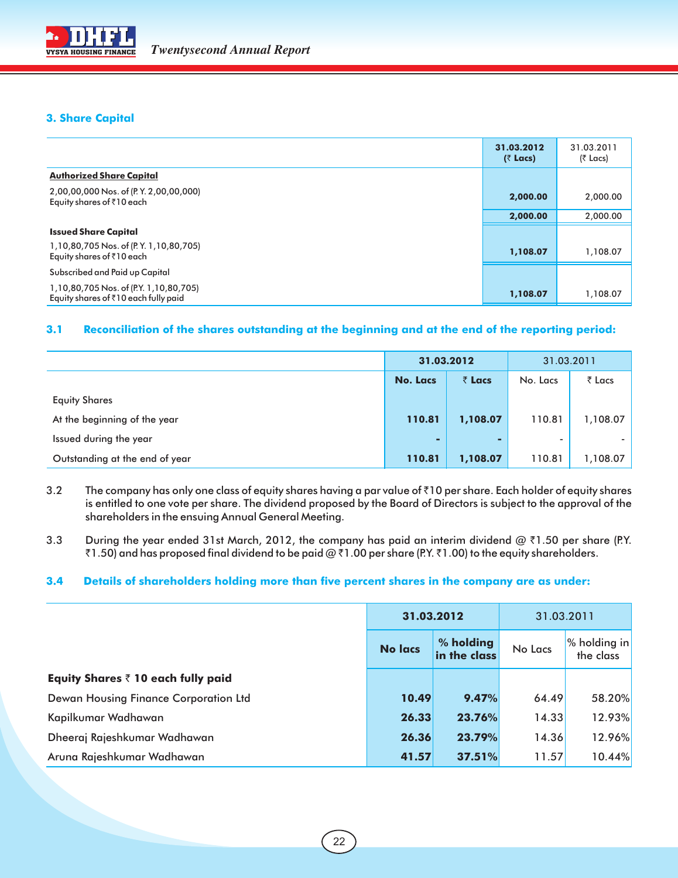

#### **3. Share Capital**

|                                                                                | 31.03.2012<br>$($ ₹ Lacs) | 31.03.2011<br>(₹ Lacs) |
|--------------------------------------------------------------------------------|---------------------------|------------------------|
| <b>Authorized Share Capital</b>                                                |                           |                        |
| 2,00,00,000 Nos. of (P.Y. 2,00,00,000)<br>Equity shares of ₹10 each            | 2,000.00                  | 2,000.00               |
|                                                                                | 2,000.00                  | 2,000.00               |
| <b>Issued Share Capital</b>                                                    |                           |                        |
| 1,10,80,705 Nos. of (P.Y. 1,10,80,705)<br>Equity shares of ₹10 each            | 1,108.07                  | 1,108.07               |
| Subscribed and Paid up Capital                                                 |                           |                        |
| 1,10,80,705 Nos. of (P.Y. 1,10,80,705)<br>Equity shares of ₹10 each fully paid | 1,108.07                  | 1,108.07               |

#### **3.1 Reconciliation of the shares outstanding at the beginning and at the end of the reporting period:**

|                                | 31.03.2012      |                | 31.03.2011 |                |
|--------------------------------|-----------------|----------------|------------|----------------|
|                                | <b>No. Lacs</b> | $\bar{z}$ Lacs | No. Lacs   | $\bar{z}$ Lacs |
| <b>Equity Shares</b>           |                 |                |            |                |
| At the beginning of the year   | 110.81          | 1,108.07       | 110.81     | 1,108.07       |
| Issued during the year         | ٠               | -              |            |                |
| Outstanding at the end of year | 110.81          | 1,108.07       | 110.81     | 1,108.07       |

- 3.2 The company has only one class of equity shares having a par value of  $\bar{z}$ 10 per share. Each holder of equity shares is entitled to one vote per share. The dividend proposed by the Board of Directors is subject to the approval of the shareholders in the ensuing Annual General Meeting.
- 3.3 During the year ended 31st March, 2012, the company has paid an interim dividend  $@ \bar{\tau}1.50$  per share (P.Y.  $\bar{z}1.50$ ) and has proposed final dividend to be paid @  $\bar{z}1.00$  per share (P.Y.  $\bar{z}1.00$ ) to the equity shareholders.

#### **3.4 Details of shareholders holding more than five percent shares in the company are as under:**

|                                            | 31.03.2012     |                           | 31.03.2011 |                           |
|--------------------------------------------|----------------|---------------------------|------------|---------------------------|
|                                            | <b>No lacs</b> | % holding<br>in the class | No Lacs    | % holding in<br>the class |
| Equity Shares $\bar{z}$ 10 each fully paid |                |                           |            |                           |
| Dewan Housing Finance Corporation Ltd      | 10.49          | 9.47%                     | 64.49      | 58.20%                    |
| Kapilkumar Wadhawan                        | 26.33          | 23.76%                    | 14.33      | 12.93%                    |
| Dheeraj Rajeshkumar Wadhawan               | 26.36          | 23.79%                    | 14.36      | 12.96%                    |
| Aruna Rajeshkumar Wadhawan                 | 41.57          | 37.51%                    | 11.57      | 10.44%                    |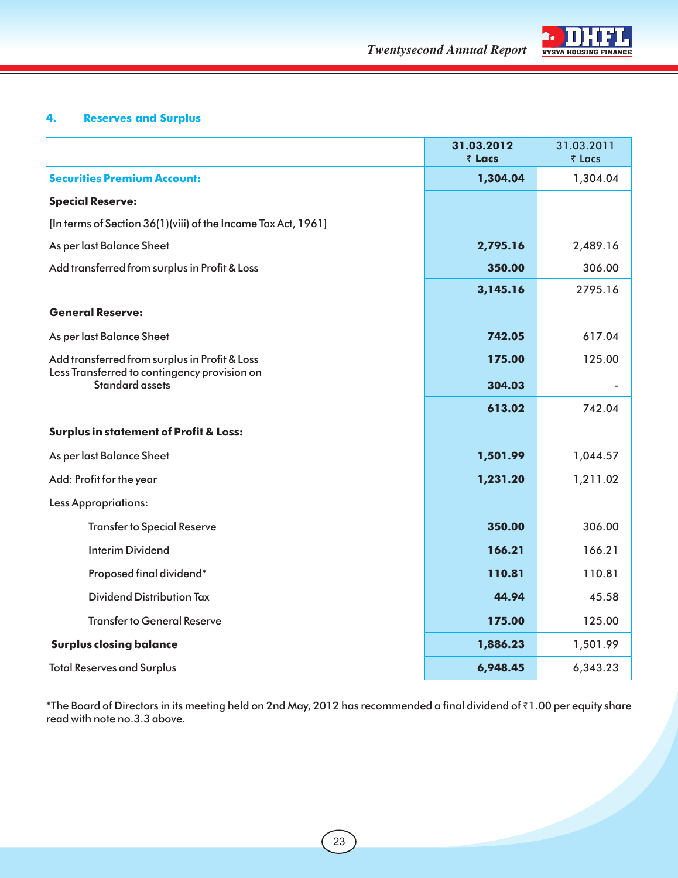



### **4. Reserves and Surplus**

|                                                                        | 31.03.2012<br>₹ Lacs | 31.03.2011<br>₹ Lacs |
|------------------------------------------------------------------------|----------------------|----------------------|
| <b>Securities Premium Account:</b>                                     | 1,304.04             | 1,304.04             |
| <b>Special Reserve:</b>                                                |                      |                      |
| [In terms of Section 36(1)(viii) of the Income Tax Act, 1961]          |                      |                      |
| As per last Balance Sheet                                              | 2,795.16             | 2,489.16             |
| Add transferred from surplus in Profit & Loss                          | 350.00               | 306.00               |
|                                                                        | 3,145.16             | 2795.16              |
| <b>General Reserve:</b>                                                |                      |                      |
| As per last Balance Sheet                                              | 742.05               | 617.04               |
| Add transferred from surplus in Profit & Loss                          | 175.00               | 125.00               |
| Less Transferred to contingency provision on<br><b>Standard assets</b> | 304.03               |                      |
|                                                                        | 613.02               | 742.04               |
| <b>Surplus in statement of Profit &amp; Loss:</b>                      |                      |                      |
| As per last Balance Sheet                                              | 1,501.99             | 1,044.57             |
| Add: Profit for the year                                               | 1,231.20             | 1,211.02             |
| <b>Less Appropriations:</b>                                            |                      |                      |
| <b>Transfer to Special Reserve</b>                                     | 350.00               | 306.00               |
| <b>Interim Dividend</b>                                                | 166.21               | 166.21               |
| Proposed final dividend*                                               | 110.81               | 110.81               |
| Dividend Distribution Tax                                              | 44.94                | 45.58                |
| <b>Transfer to General Reserve</b>                                     | 175.00               | 125.00               |
| <b>Surplus closing balance</b>                                         | 1,886.23             | 1,501.99             |
| <b>Total Reserves and Surplus</b>                                      | 6,948.45             | 6,343.23             |

\*The Board of Directors in its meeting held on 2nd May, 2012 has recommended a final dividend of `1.00 per equity share read with note no.3.3 above.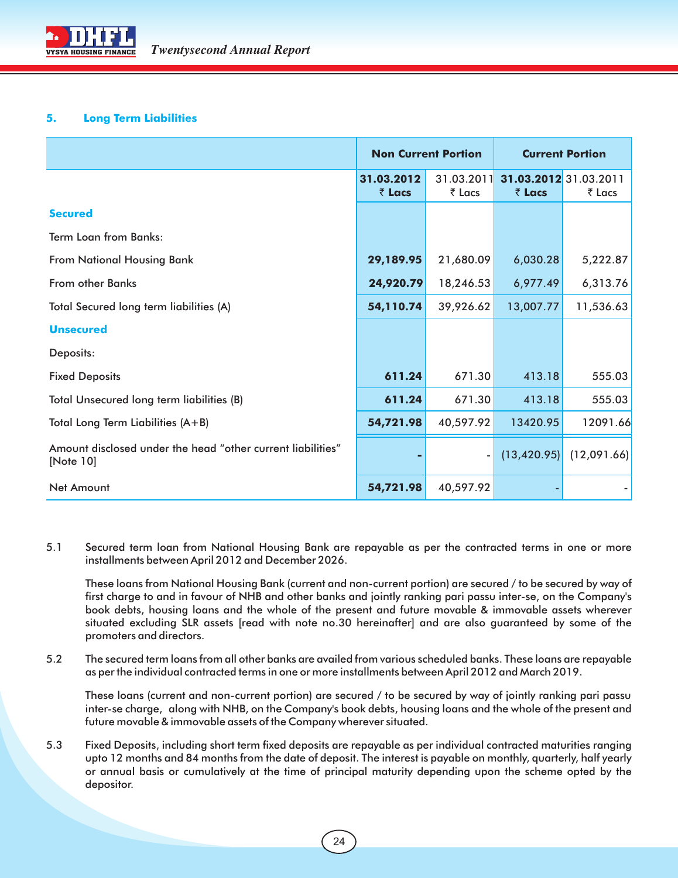#### **5. Long Term Liabilities**

|                                                                          | <b>Non Current Portion</b> |                      |                                 | <b>Current Portion</b> |
|--------------------------------------------------------------------------|----------------------------|----------------------|---------------------------------|------------------------|
|                                                                          | 31.03.2012<br>₹ Lacs       | 31.03.2011<br>₹ Lacs | 31.03.2012 31.03.2011<br>₹ Lacs | ₹ Lacs                 |
| <b>Secured</b>                                                           |                            |                      |                                 |                        |
| <b>Term Loan from Banks:</b>                                             |                            |                      |                                 |                        |
| <b>From National Housing Bank</b>                                        | 29,189.95                  | 21,680.09            | 6,030.28                        | 5,222.87               |
| From other Banks                                                         | 24,920.79                  | 18,246.53            | 6,977.49                        | 6,313.76               |
| Total Secured long term liabilities (A)                                  | 54,110.74                  | 39,926.62            | 13,007.77                       | 11,536.63              |
| <b>Unsecured</b>                                                         |                            |                      |                                 |                        |
| Deposits:                                                                |                            |                      |                                 |                        |
| <b>Fixed Deposits</b>                                                    | 611.24                     | 671.30               | 413.18                          | 555.03                 |
| Total Unsecured long term liabilities (B)                                | 611.24                     | 671.30               | 413.18                          | 555.03                 |
| Total Long Term Liabilities (A+B)                                        | 54,721.98                  | 40,597.92            | 13420.95                        | 12091.66               |
| Amount disclosed under the head "other current liabilities"<br>[Note 10] |                            |                      | (13, 420.95)                    | (12,091.66)            |
| Net Amount                                                               | 54,721.98                  | 40,597.92            |                                 |                        |

5.1 Secured term loan from National Housing Bank are repayable as per the contracted terms in one or more installments between April 2012 and December 2026.

These loans from National Housing Bank (current and non-current portion) are secured / to be secured by way of first charge to and in favour of NHB and other banks and jointly ranking pari passu inter-se, on the Company's book debts, housing loans and the whole of the present and future movable & immovable assets wherever situated excluding SLR assets [read with note no.30 hereinafter] and are also guaranteed by some of the promoters and directors.

5.2 The secured term loans from all other banks are availed from various scheduled banks. These loans are repayable as per the individual contracted terms in one or more installments between April 2012 and March 2019.

These loans (current and non-current portion) are secured / to be secured by way of jointly ranking pari passu inter-se charge, along with NHB, on the Company's book debts, housing loans and the whole of the present and future movable & immovable assets of the Company wherever situated.

5.3 Fixed Deposits, including short term fixed deposits are repayable as per individual contracted maturities ranging upto 12 months and 84 months from the date of deposit. The interest is payable on monthly, quarterly, half yearly or annual basis or cumulatively at the time of principal maturity depending upon the scheme opted by the depositor.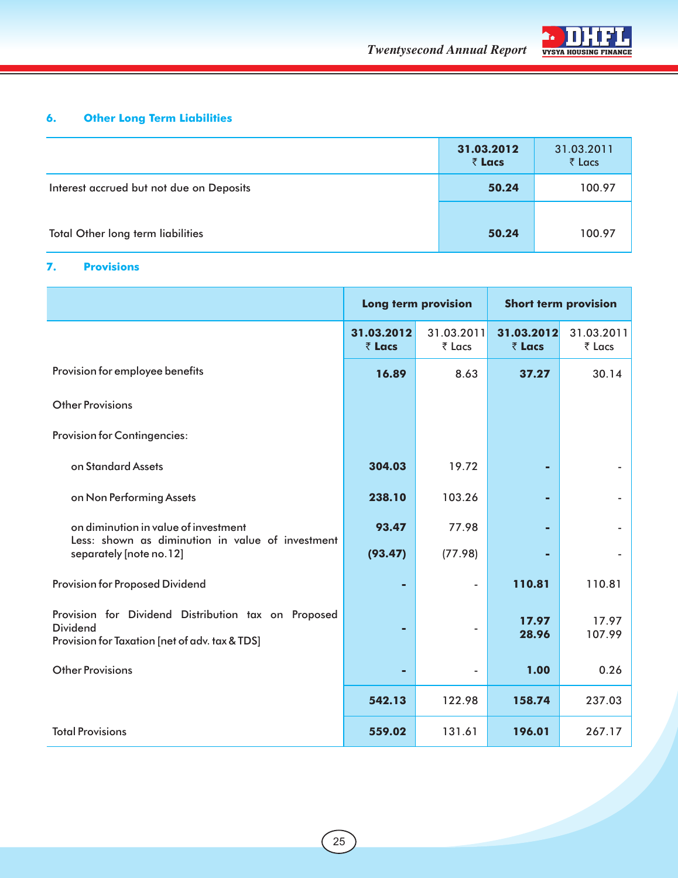



### **6. Other Long Term Liabilities**

|                                          | 31.03.2012<br>₹ Lacs | 31.03.2011<br>₹ Lacs |
|------------------------------------------|----------------------|----------------------|
| Interest accrued but not due on Deposits | 50.24                | 100.97               |
| <b>Total Other long term liabilities</b> | 50.24                | 100.97               |

### **7. Provisions**

|                                                                                          | Long term provision          |                      |                              | <b>Short term provision</b> |
|------------------------------------------------------------------------------------------|------------------------------|----------------------|------------------------------|-----------------------------|
|                                                                                          | 31.03.2012<br>$\bar{z}$ Lacs | 31.03.2011<br>₹ Lacs | 31.03.2012<br>$\bar{z}$ Lacs | 31.03.2011<br>₹ Lacs        |
| Provision for employee benefits                                                          | 16.89                        | 8.63                 | 37.27                        | 30.14                       |
| <b>Other Provisions</b>                                                                  |                              |                      |                              |                             |
| <b>Provision for Contingencies:</b>                                                      |                              |                      |                              |                             |
| on Standard Assets                                                                       | 304.03                       | 19.72                |                              |                             |
| on Non Performing Assets                                                                 | 238.10                       | 103.26               |                              |                             |
| on diminution in value of investment<br>Less: shown as diminution in value of investment | 93.47                        | 77.98                |                              |                             |
| separately [note no.12]                                                                  | (93.47)                      | (77.98)              |                              |                             |
| Provision for Proposed Dividend                                                          |                              |                      | 110.81                       | 110.81                      |
| Provision for Dividend Distribution tax on Proposed<br><b>Dividend</b>                   |                              |                      | 17.97<br>28.96               | 17.97<br>107.99             |
| Provision for Taxation [net of adv. tax & TDS]<br><b>Other Provisions</b>                |                              |                      | 1.00                         | 0.26                        |
|                                                                                          |                              |                      |                              |                             |
|                                                                                          | 542.13                       | 122.98               | 158.74                       | 237.03                      |
| <b>Total Provisions</b>                                                                  | 559.02                       | 131.61               | 196.01                       | 267.17                      |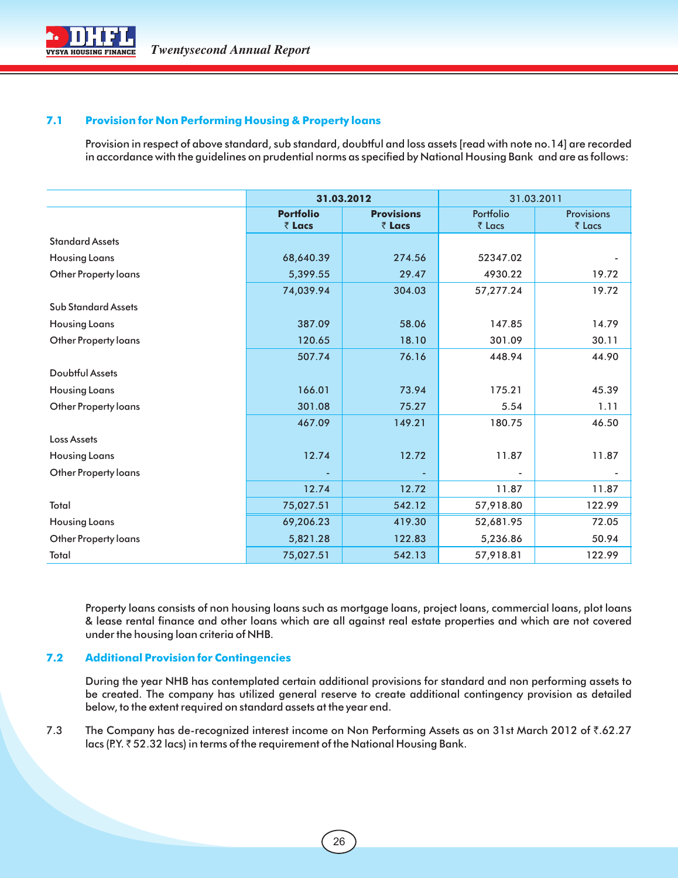

#### **7.1 Provision for Non Performing Housing & Property loans**

Provision in respect of above standard, sub standard, doubtful and loss assets [read with note no.14] are recorded in accordance with the guidelines on prudential norms as specified by National Housing Bank and are as follows:

|                             | 31.03.2012                 |                             |                     | 31.03.2011                  |
|-----------------------------|----------------------------|-----------------------------|---------------------|-----------------------------|
|                             | <b>Portfolio</b><br>₹ Lacs | <b>Provisions</b><br>₹ Lacs | Portfolio<br>₹ Lacs | <b>Provisions</b><br>₹ Lacs |
| <b>Standard Assets</b>      |                            |                             |                     |                             |
| <b>Housing Loans</b>        | 68,640.39                  | 274.56                      | 52347.02            |                             |
| <b>Other Property loans</b> | 5,399.55                   | 29.47                       | 4930.22             | 19.72                       |
|                             | 74,039.94                  | 304.03                      | 57,277.24           | 19.72                       |
| <b>Sub Standard Assets</b>  |                            |                             |                     |                             |
| <b>Housing Loans</b>        | 387.09                     | 58.06                       | 147.85              | 14.79                       |
| Other Property loans        | 120.65                     | 18.10                       | 301.09              | 30.11                       |
|                             | 507.74                     | 76.16                       | 448.94              | 44.90                       |
| <b>Doubtful Assets</b>      |                            |                             |                     |                             |
| <b>Housing Loans</b>        | 166.01                     | 73.94                       | 175.21              | 45.39                       |
| <b>Other Property loans</b> | 301.08                     | 75.27                       | 5.54                | 1.11                        |
|                             | 467.09                     | 149.21                      | 180.75              | 46.50                       |
| <b>Loss Assets</b>          |                            |                             |                     |                             |
| <b>Housing Loans</b>        | 12.74                      | 12.72                       | 11.87               | 11.87                       |
| Other Property loans        |                            |                             |                     |                             |
|                             | 12.74                      | 12.72                       | 11.87               | 11.87                       |
| Total                       | 75,027.51                  | 542.12                      | 57,918.80           | 122.99                      |
| <b>Housing Loans</b>        | 69,206.23                  | 419.30                      | 52,681.95           | 72.05                       |
| <b>Other Property loans</b> | 5,821.28                   | 122.83                      | 5,236.86            | 50.94                       |
| Total                       | 75,027.51                  | 542.13                      | 57,918.81           | 122.99                      |

Property loans consists of non housing loans such as mortgage loans, project loans, commercial loans, plot loans & lease rental finance and other loans which are all against real estate properties and which are not covered under the housing loan criteria of NHB.

#### **7.2 Additional Provision for Contingencies**

During the year NHB has contemplated certain additional provisions for standard and non performing assets to be created. The company has utilized general reserve to create additional contingency provision as detailed below, to the extent required on standard assets at the year end.

7.3 The Company has de-recognized interest income on Non Performing Assets as on 31st March 2012 of ₹.62.27 lacs (P.Y. ₹52.32 lacs) in terms of the requirement of the National Housing Bank.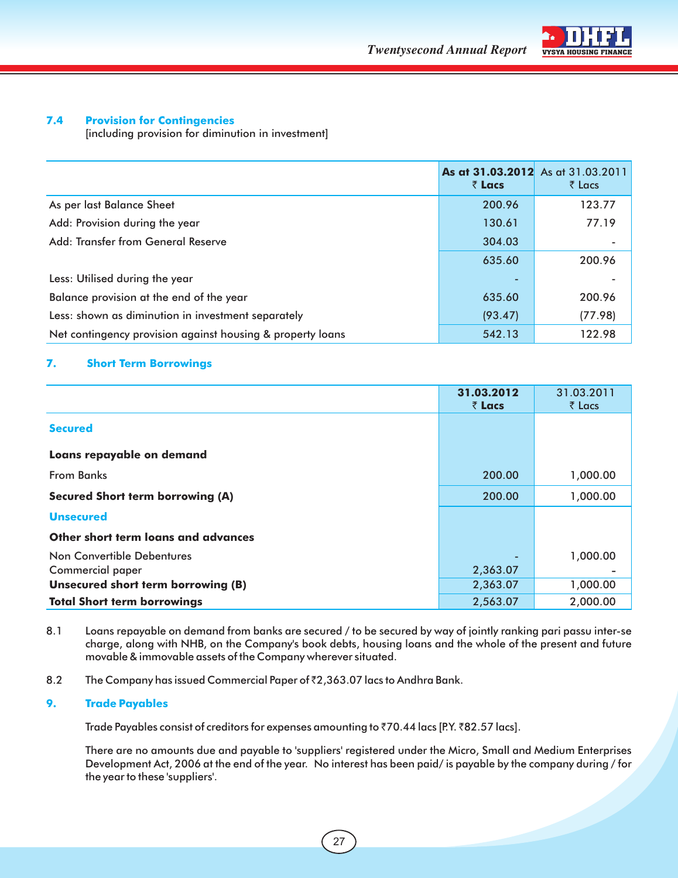

#### **7.4 Provision for Contingencies**

[including provision for diminution in investment]

|                                                            | As at 31.03.2012 As at 31.03.2011<br>$\bar{z}$ Lacs | $\bar{\tau}$ Lacs        |
|------------------------------------------------------------|-----------------------------------------------------|--------------------------|
| As per last Balance Sheet                                  | 200.96                                              | 123.77                   |
| Add: Provision during the year                             | 130.61                                              | 77.19                    |
| Add: Transfer from General Reserve                         | 304.03                                              | $\overline{\phantom{a}}$ |
|                                                            | 635.60                                              | 200.96                   |
| Less: Utilised during the year                             |                                                     |                          |
| Balance provision at the end of the year                   | 635.60                                              | 200.96                   |
| Less: shown as diminution in investment separately         | (93.47)                                             | (77.98)                  |
| Net contingency provision against housing & property loans | 542.13                                              | 122.98                   |

#### **7. Short Term Borrowings**

|                                         | 31.03.2012<br>₹ Lacs | 31.03.2011<br>$\bar{z}$ Lacs |
|-----------------------------------------|----------------------|------------------------------|
| <b>Secured</b>                          |                      |                              |
| Loans repayable on demand               |                      |                              |
| <b>From Banks</b>                       | 200.00               | 1,000.00                     |
| <b>Secured Short term borrowing (A)</b> | 200.00               | 1,000.00                     |
| <b>Unsecured</b>                        |                      |                              |
| Other short term loans and advances     |                      |                              |
| Non Convertible Debentures              |                      | 1,000.00                     |
| Commercial paper                        | 2,363.07             |                              |
| Unsecured short term borrowing (B)      | 2,363.07             | 1,000.00                     |
| <b>Total Short term borrowings</b>      | 2,563.07             | 2,000.00                     |

- 8.1 Loans repayable on demand from banks are secured / to be secured by way of jointly ranking pari passu inter-se charge, along with NHB, on the Company's book debts, housing loans and the whole of the present and future movable & immovable assets of the Company wherever situated.
- 8.2 The Company has issued Commercial Paper of  $z$ ,363.07 lacs to Andhra Bank.

#### **9. Trade Payables**

Trade Payables consist of creditors for expenses amounting to  $\bar{z}$ 70.44 lacs [P.Y.  $\bar{z}$ 82.57 lacs].

There are no amounts due and payable to 'suppliers' registered under the Micro, Small and Medium Enterprises Development Act, 2006 at the end of the year. No interest has been paid/ is payable by the company during / for the year to these 'suppliers'.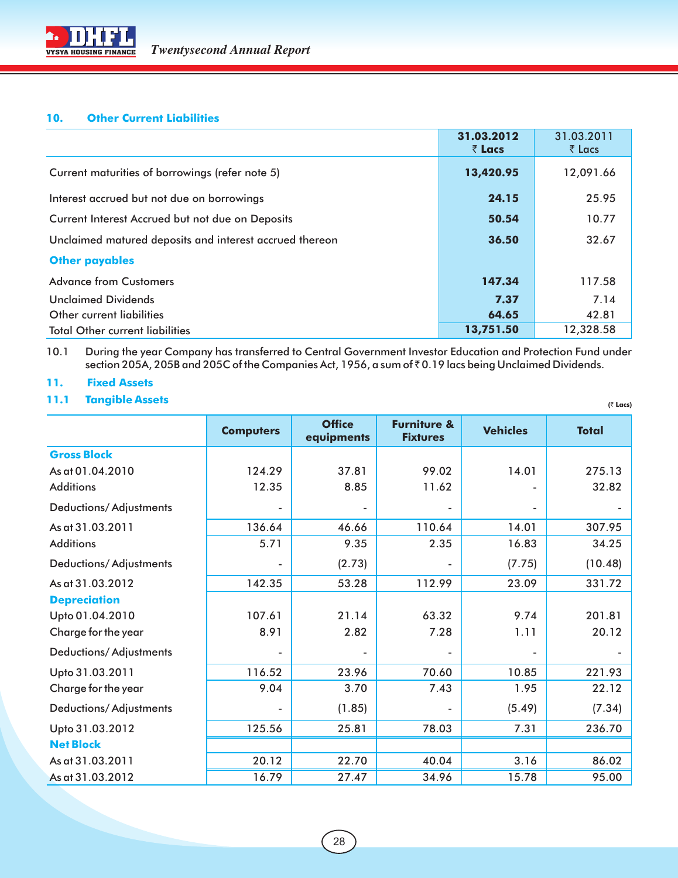#### **10. Other Current Liabilities**

|                                                         | 31.03.2012<br>$\bar{z}$ Lacs | 31.03.2011<br>$\bar{\tau}$ Lacs |
|---------------------------------------------------------|------------------------------|---------------------------------|
| Current maturities of borrowings (refer note 5)         | 13,420.95                    | 12,091.66                       |
| Interest accrued but not due on borrowings              | 24.15                        | 25.95                           |
| Current Interest Accrued but not due on Deposits        | 50.54                        | 10.77                           |
| Unclaimed matured deposits and interest accrued thereon | 36.50                        | 32.67                           |
| <b>Other payables</b>                                   |                              |                                 |
| <b>Advance from Customers</b>                           | 147.34                       | 117.58                          |
| <b>Unclaimed Dividends</b>                              | 7.37                         | 7.14                            |
| Other current liabilities                               | 64.65                        | 42.81                           |
| <b>Total Other current liabilities</b>                  | 13,751.50                    | 12,328.58                       |

#### 10.1 During the year Company has transferred to Central Government Investor Education and Protection Fund under section 205A, 205B and 205C of the Companies Act, 1956, a sum of  $\bar{\tau}$  0.19 lacs being Unclaimed Dividends.

 **(**` **Lacs)**

#### **11. Fixed Assets**

**11.1 Tangible Assets**

|                               | <b>Computers</b> | <b>Office</b><br>equipments | <b>Furniture &amp;</b><br><b>Fixtures</b> | <b>Vehicles</b>          | <b>Total</b> |
|-------------------------------|------------------|-----------------------------|-------------------------------------------|--------------------------|--------------|
| <b>Gross Block</b>            |                  |                             |                                           |                          |              |
| As at 01.04.2010              | 124.29           | 37.81                       | 99.02                                     | 14.01                    | 275.13       |
| <b>Additions</b>              | 12.35            | 8.85                        | 11.62                                     |                          | 32.82        |
| <b>Deductions/Adjustments</b> |                  |                             |                                           |                          |              |
| As at 31.03.2011              | 136.64           | 46.66                       | 110.64                                    | 14.01                    | 307.95       |
| <b>Additions</b>              | 5.71             | 9.35                        | 2.35                                      | 16.83                    | 34.25        |
| <b>Deductions/Adjustments</b> |                  | (2.73)                      |                                           | (7.75)                   | (10.48)      |
| As at 31.03.2012              | 142.35           | 53.28                       | 112.99                                    | 23.09                    | 331.72       |
| <b>Depreciation</b>           |                  |                             |                                           |                          |              |
| Upto 01.04.2010               | 107.61           | 21.14                       | 63.32                                     | 9.74                     | 201.81       |
| Charge for the year           | 8.91             | 2.82                        | 7.28                                      | 1.11                     | 20.12        |
| <b>Deductions/Adjustments</b> |                  |                             |                                           | $\overline{\phantom{a}}$ |              |
| Upto 31.03.2011               | 116.52           | 23.96                       | 70.60                                     | 10.85                    | 221.93       |
| Charge for the year           | 9.04             | 3.70                        | 7.43                                      | 1.95                     | 22.12        |
| <b>Deductions/Adjustments</b> |                  | (1.85)                      |                                           | (5.49)                   | (7.34)       |
| Upto 31.03.2012               | 125.56           | 25.81                       | 78.03                                     | 7.31                     | 236.70       |
| <b>Net Block</b>              |                  |                             |                                           |                          |              |
| As at 31.03.2011              | 20.12            | 22.70                       | 40.04                                     | 3.16                     | 86.02        |
| As at 31.03.2012              | 16.79            | 27.47                       | 34.96                                     | 15.78                    | 95.00        |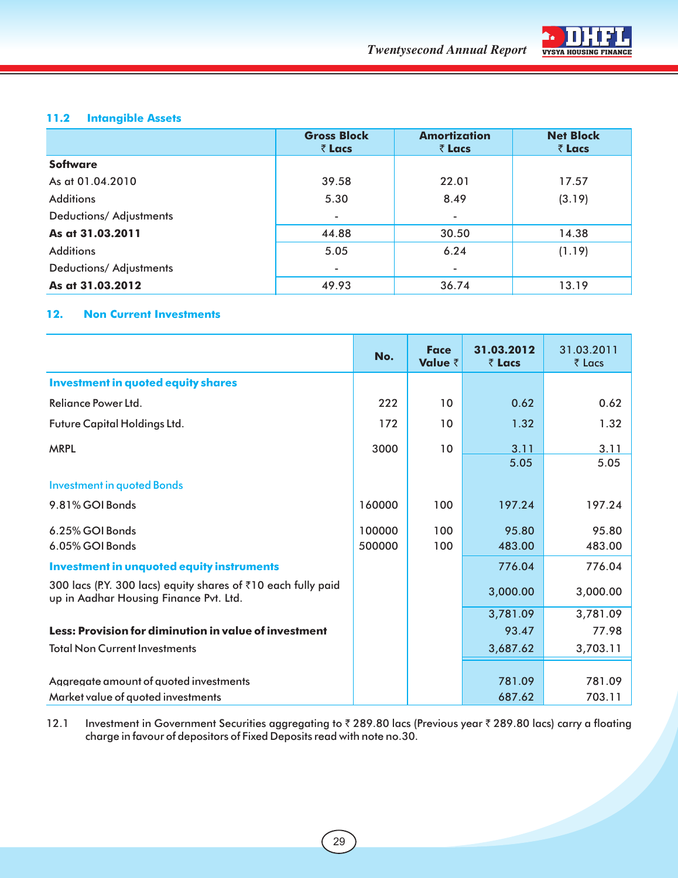

#### **11.2 Intangible Assets**

|                         | <b>Gross Block</b><br>₹ Lacs | <b>Amortization</b><br>₹ Lacs | <b>Net Block</b><br>₹ Lacs |
|-------------------------|------------------------------|-------------------------------|----------------------------|
| <b>Software</b>         |                              |                               |                            |
| As at 01.04.2010        | 39.58                        | 22.01                         | 17.57                      |
| <b>Additions</b>        | 5.30                         | 8.49                          | (3.19)                     |
| Deductions/ Adjustments | $\overline{\phantom{a}}$     | $\overline{\phantom{a}}$      |                            |
| As at 31.03.2011        | 44.88                        | 30.50                         | 14.38                      |
| <b>Additions</b>        | 5.05                         | 6.24                          | (1.19)                     |
| Deductions/ Adjustments |                              |                               |                            |
| As at 31.03.2012        | 49.93                        | 36.74                         | 13.19                      |

#### **12. Non Current Investments**

|                                                                                                         | No.    | <b>Face</b><br>Value ₹ | 31.03.2012<br>₹ Lacs | 31.03.2011<br>₹ Lacs |
|---------------------------------------------------------------------------------------------------------|--------|------------------------|----------------------|----------------------|
| <b>Investment in quoted equity shares</b>                                                               |        |                        |                      |                      |
| Reliance Power Ltd.                                                                                     | 222    | 10                     | 0.62                 | 0.62                 |
| Future Capital Holdings Ltd.                                                                            | 172    | 10                     | 1.32                 | 1.32                 |
| <b>MRPL</b>                                                                                             | 3000   | 10                     | 3.11                 | 3.11                 |
|                                                                                                         |        |                        | 5.05                 | 5.05                 |
| <b>Investment in quoted Bonds</b>                                                                       |        |                        |                      |                      |
| 9.81% GOI Bonds                                                                                         | 160000 | 100                    | 197.24               | 197.24               |
| 6.25% GOI Bonds                                                                                         | 100000 | 100                    | 95.80                | 95.80                |
| 6.05% GOI Bonds                                                                                         | 500000 | 100                    | 483.00               | 483.00               |
| <b>Investment in unquoted equity instruments</b>                                                        |        |                        | 776.04               | 776.04               |
| 300 lacs (P.Y. 300 lacs) equity shares of ₹10 each fully paid<br>up in Aadhar Housing Finance Pvt. Ltd. |        |                        | 3,000.00             | 3,000.00             |
|                                                                                                         |        |                        | 3,781.09             | 3,781.09             |
| Less: Provision for diminution in value of investment                                                   |        |                        | 93.47                | 77.98                |
| <b>Total Non Current Investments</b>                                                                    |        |                        | 3,687.62             | 3,703.11             |
|                                                                                                         |        |                        |                      |                      |
| Aggregate amount of guoted investments                                                                  |        |                        | 781.09               | 781.09               |
| Market value of quoted investments                                                                      |        |                        | 687.62               | 703.11               |

12.1 Investment in Government Securities aggregating to ₹ 289.80 lacs (Previous year ₹ 289.80 lacs) carry a floating charge in favour of depositors of Fixed Deposits read with note no.30.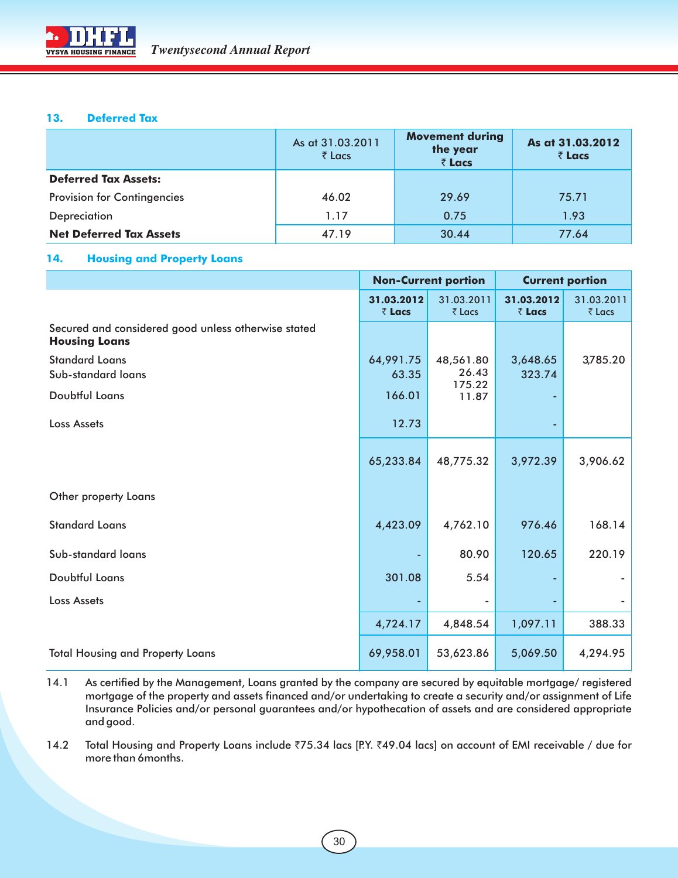

#### **13. Deferred Tax**

|                                    | As at 31.03.2011<br>₹ Lacs | <b>Movement during</b><br>the year<br>₹ Lacs | As at 31.03.2012<br>₹ Lacs |
|------------------------------------|----------------------------|----------------------------------------------|----------------------------|
| <b>Deferred Tax Assets:</b>        |                            |                                              |                            |
| <b>Provision for Contingencies</b> | 46.02                      | 29.69                                        | 75.71                      |
| Depreciation                       | 1.17                       | 0.75                                         | 1.93                       |
| <b>Net Deferred Tax Assets</b>     | 47.19                      | 30.44                                        | 77.64                      |

#### **14. Housing and Property Loans**

|                                                                             |                      | <b>Non-Current portion</b>   |                      | <b>Current portion</b> |
|-----------------------------------------------------------------------------|----------------------|------------------------------|----------------------|------------------------|
|                                                                             | 31.03.2012<br>₹ Lacs | 31.03.2011<br>₹ Lacs         | 31.03.2012<br>₹ Lacs | 31.03.2011<br>₹ Lacs   |
| Secured and considered good unless otherwise stated<br><b>Housing Loans</b> |                      |                              |                      |                        |
| <b>Standard Loans</b><br>Sub-standard loans                                 | 64,991.75<br>63.35   | 48,561.80<br>26.43<br>175.22 | 3,648.65<br>323.74   | 3,785.20               |
| Doubtful Loans                                                              | 166.01               | 11.87                        |                      |                        |
| <b>Loss Assets</b>                                                          | 12.73                |                              |                      |                        |
|                                                                             | 65,233.84            | 48,775.32                    | 3,972.39             | 3,906.62               |
| Other property Loans                                                        |                      |                              |                      |                        |
| <b>Standard Loans</b>                                                       | 4,423.09             | 4,762.10                     | 976.46               | 168.14                 |
| Sub-standard loans                                                          |                      | 80.90                        | 120.65               | 220.19                 |
| Doubtful Loans                                                              | 301.08               | 5.54                         |                      |                        |
| <b>Loss Assets</b>                                                          |                      | $\overline{\phantom{a}}$     |                      |                        |
|                                                                             | 4,724.17             | 4,848.54                     | 1,097.11             | 388.33                 |
| <b>Total Housing and Property Loans</b>                                     | 69,958.01            | 53,623.86                    | 5,069.50             | 4,294.95               |

14.1 As certified by the Management, Loans granted by the company are secured by equitable mortgage/ registered mortgage of the property and assets financed and/or undertaking to create a security and/or assignment of Life Insurance Policies and/or personal guarantees and/or hypothecation of assets and are considered appropriate and good.

14.2 Total Housing and Property Loans include ₹75.34 lacs [P.Y. ₹49.04 lacs] on account of EMI receivable / due for more than 6months.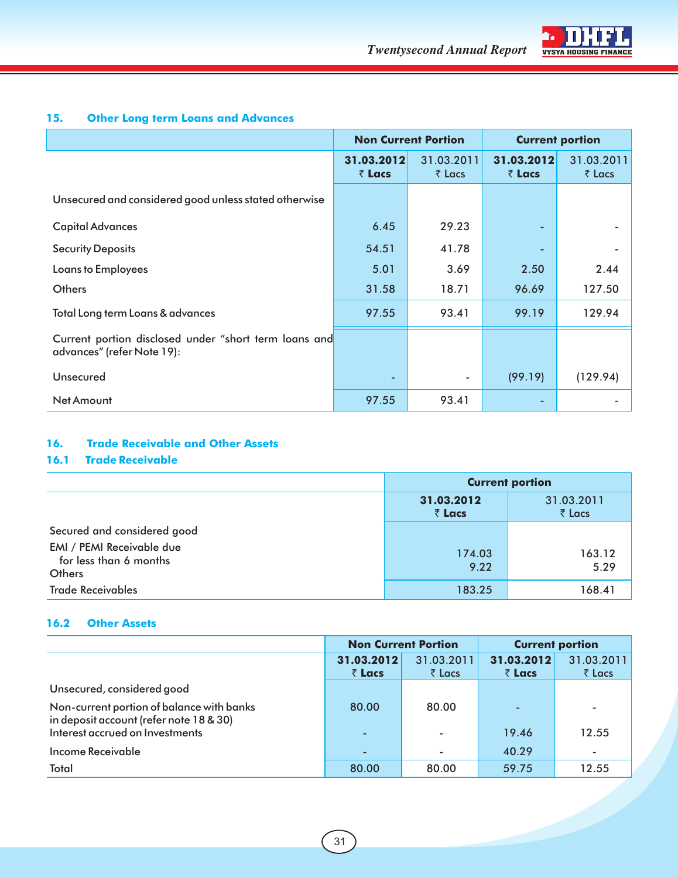

#### **15. Other Long term Loans and Advances**

|                                                                                     | <b>Non Current Portion</b> |                              | <b>Current portion</b> |                      |
|-------------------------------------------------------------------------------------|----------------------------|------------------------------|------------------------|----------------------|
|                                                                                     | 31.03.2012<br>₹ Lacs       | 31.03.2011<br>$\bar{z}$ Lacs | 31.03.2012<br>₹ Lacs   | 31.03.2011<br>₹ Lacs |
| Unsecured and considered good unless stated otherwise                               |                            |                              |                        |                      |
| <b>Capital Advances</b>                                                             | 6.45                       | 29.23                        |                        |                      |
| <b>Security Deposits</b>                                                            | 54.51                      | 41.78                        |                        |                      |
| Loans to Employees                                                                  | 5.01                       | 3.69                         | 2.50                   | 2.44                 |
| <b>Others</b>                                                                       | 31.58                      | 18.71                        | 96.69                  | 127.50               |
| Total Long term Loans & advances                                                    | 97.55                      | 93.41                        | 99.19                  | 129.94               |
| Current portion disclosed under "short term loans and<br>advances" (refer Note 19): |                            |                              |                        |                      |
| Unsecured                                                                           |                            | ٠                            | (99.19)                | (129.94)             |
| Net Amount                                                                          | 97.55                      | 93.41                        |                        |                      |

#### **16. Trade Receivable and Other Assets**

#### **16.1 Trade Receivable**

|                                                                      | <b>Current portion</b> |                                 |  |
|----------------------------------------------------------------------|------------------------|---------------------------------|--|
|                                                                      | 31.03.2012<br>₹ Lacs   | 31.03.2011<br>$\bar{\tau}$ Lacs |  |
| Secured and considered good                                          |                        |                                 |  |
| EMI / PEMI Receivable due<br>for less than 6 months<br><b>Others</b> | 174.03<br>9.22         | 163.12<br>5.29                  |  |
| <b>Trade Receivables</b>                                             | 183.25                 | 168.41                          |  |

#### **16.2 Other Assets**

|                                                                                      | <b>Non Current Portion</b> |                          | <b>Current portion</b> |                                 |
|--------------------------------------------------------------------------------------|----------------------------|--------------------------|------------------------|---------------------------------|
|                                                                                      | 31.03.2012<br>₹ Lacs       | 31.03.2011<br>₹ Lacs     | 31.03.2012<br>₹ Lacs   | 31.03.2011<br>$\bar{\tau}$ Lacs |
| Unsecured, considered good                                                           |                            |                          |                        |                                 |
| Non-current portion of balance with banks<br>in deposit account (refer note 18 & 30) | 80.00                      | 80.00                    |                        |                                 |
| Interest accrued on Investments                                                      | ٠                          | $\overline{\phantom{0}}$ | 19.46                  | 12.55                           |
| <b>Income Receivable</b>                                                             | ٠                          | ۰                        | 40.29                  |                                 |
| Total                                                                                | 80.00                      | 80.00                    | 59.75                  | 12.55                           |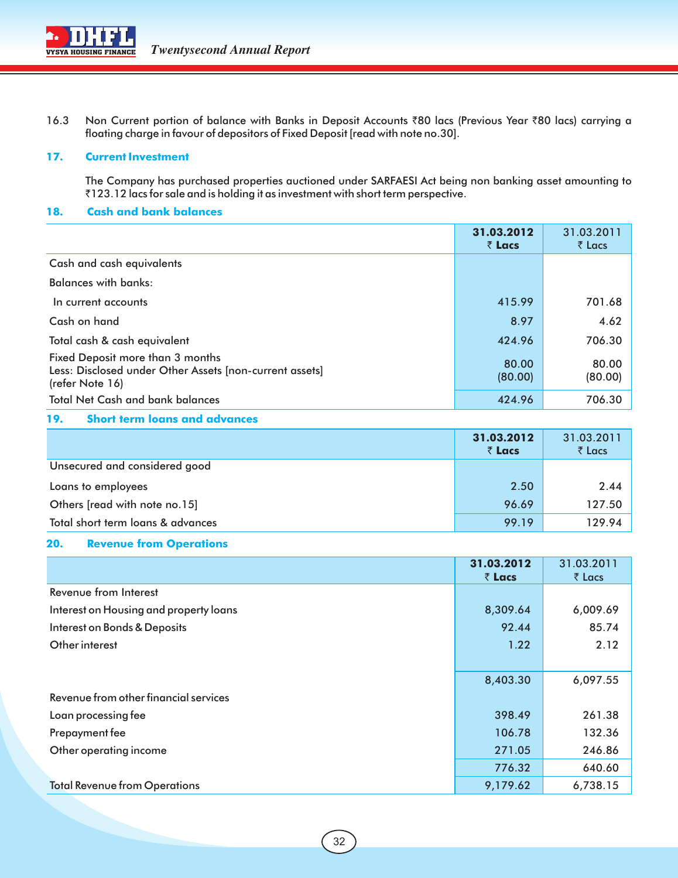

16.3 Non Current portion of balance with Banks in Deposit Accounts ₹80 lacs (Previous Year ₹80 lacs) carrying a floating charge in favour of depositors of Fixed Deposit [read with note no.30].

#### **17. Current Investment**

The Company has purchased properties auctioned under SARFAESI Act being non banking asset amounting to ₹123.12 lacs for sale and is holding it as investment with short term perspective.

#### **18. Cash and bank balances**

|                                                                                                                | 31.03.2012<br>₹ Lacs | 31.03.2011<br>$\bar{\tau}$ Lacs |
|----------------------------------------------------------------------------------------------------------------|----------------------|---------------------------------|
| Cash and cash equivalents                                                                                      |                      |                                 |
| <b>Balances with banks:</b>                                                                                    |                      |                                 |
| In current accounts                                                                                            | 415.99               | 701.68                          |
| Cash on hand                                                                                                   | 8.97                 | 4.62                            |
| Total cash & cash equivalent                                                                                   | 424.96               | 706.30                          |
| Fixed Deposit more than 3 months<br>Less: Disclosed under Other Assets [non-current assets]<br>(refer Note 16) | 80.00<br>(80.00)     | 80.00<br>(80.00)                |
| <b>Total Net Cash and bank balances</b>                                                                        | 424.96               | 706.30                          |

#### **19. Short term loans and advances**

|                                   | 31.03.2012<br>₹ Lacs | 31.03.2011<br>$\bar{\tau}$ Lacs |
|-----------------------------------|----------------------|---------------------------------|
| Unsecured and considered good     |                      |                                 |
| Loans to employees                | 2.50                 | 2.44                            |
| Others [read with note no.15]     | 96.69                | 127.50                          |
| Total short term loans & advances | 99.19                | 129.94                          |

#### **20. Revenue from Operations**

|                                        | 31.03.2012<br>₹ Lacs | 31.03.2011<br>₹ Lacs |
|----------------------------------------|----------------------|----------------------|
| Revenue from Interest                  |                      |                      |
| Interest on Housing and property loans | 8,309.64             | 6,009.69             |
| Interest on Bonds & Deposits           | 92.44                | 85.74                |
| Other interest                         | 1.22                 | 2.12                 |
|                                        |                      |                      |
|                                        | 8,403.30             | 6,097.55             |
| Revenue from other financial services  |                      |                      |
| Loan processing fee                    | 398.49               | 261.38               |
| Prepayment fee                         | 106.78               | 132.36               |
| Other operating income                 | 271.05               | 246.86               |
|                                        | 776.32               | 640.60               |
| <b>Total Revenue from Operations</b>   | 9,179.62             | 6,738.15             |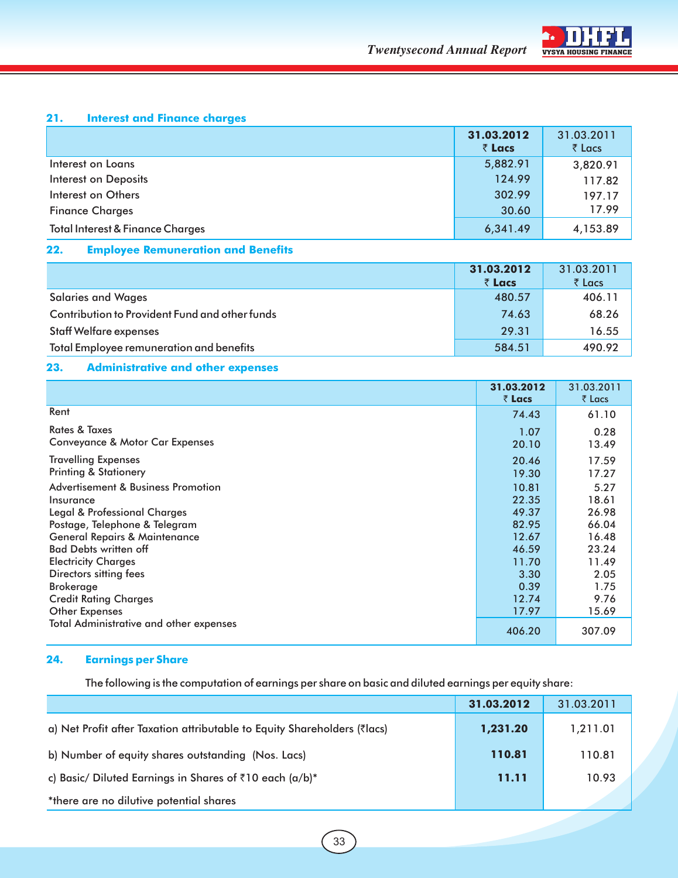

#### **21. Interest and Finance charges**

|                                             | 31.03.2012 | 31.03.2011 |
|---------------------------------------------|------------|------------|
|                                             | ₹ Lacs     | ₹ Lacs     |
| Interest on Loans                           | 5,882.91   | 3,820.91   |
| <b>Interest on Deposits</b>                 | 124.99     | 117.82     |
| Interest on Others                          | 302.99     | 197.17     |
| <b>Finance Charges</b>                      | 30.60      | 17.99      |
| <b>Total Interest &amp; Finance Charges</b> | 6,341.49   | 4,153.89   |

#### **22. Employee Remuneration and Benefits**

|                                                | 31.03.2012 | 31.03.2011 |
|------------------------------------------------|------------|------------|
|                                                | ₹ Lacs     | ₹ Lacs     |
| <b>Salaries and Wages</b>                      | 480.57     | 406.11     |
| Contribution to Provident Fund and other funds | 74.63      | 68.26      |
| <b>Staff Welfare expenses</b>                  | 29.31      | 16.55      |
| Total Employee remuneration and benefits       | 584.51     | 490.92     |

#### **23. Administrative and other expenses**

|                                                                                                           | 31.03.2012<br>₹ Lacs    | 31.03.2011<br>₹ Lacs   |
|-----------------------------------------------------------------------------------------------------------|-------------------------|------------------------|
| Rent                                                                                                      | 74.43                   | 61.10                  |
| <b>Rates &amp; Taxes</b><br>Conveyance & Motor Car Expenses                                               | 1.07<br>20.10           | 0.28<br>13.49          |
| <b>Travelling Expenses</b><br><b>Printing &amp; Stationery</b>                                            | 20.46<br>19.30          | 17.59<br>17.27         |
| Advertisement & Business Promotion<br>Insurance                                                           | 10.81<br>22.35<br>49.37 | 5.27<br>18.61<br>26.98 |
| Legal & Professional Charges<br>Postage, Telephone & Telegram<br><b>General Repairs &amp; Maintenance</b> | 82.95<br>12.67          | 66.04<br>16.48         |
| <b>Bad Debts written off</b><br><b>Electricity Charges</b>                                                | 46.59<br>11.70          | 23.24<br>11.49         |
| Directors sitting fees<br><b>Brokerage</b>                                                                | 3.30<br>0.39<br>12.74   | 2.05<br>1.75<br>9.76   |
| <b>Credit Rating Charges</b><br>Other Expenses<br><b>Total Administrative and other expenses</b>          | 17.97                   | 15.69                  |
|                                                                                                           | 406.20                  | 307.09                 |

#### **24. Earnings per Share**

The following is the computation of earnings per share on basic and diluted earnings per equity share:

|                                                                          | 31.03.2012 | 31.03.2011 |
|--------------------------------------------------------------------------|------------|------------|
| a) Net Profit after Taxation attributable to Equity Shareholders (7lacs) | 1,231.20   | 1,211.01   |
| b) Number of equity shares outstanding (Nos. Lacs)                       | 110.81     | 110.81     |
| c) Basic/ Diluted Earnings in Shares of ₹10 each (a/b)*                  | 11.11      | 10.93      |
| *there are no dilutive potential shares                                  |            |            |

33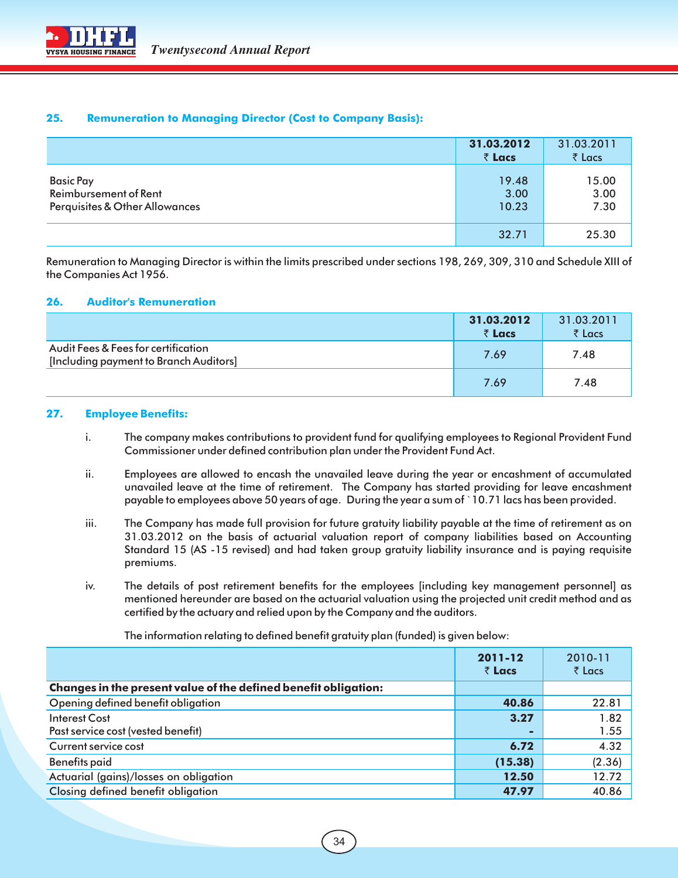#### **25. Remuneration to Managing Director (Cost to Company Basis):**

|                                                                             | 31.03.2012<br>₹ Lacs   | 31.03.2011<br>$\bar{z}$ Lacs |
|-----------------------------------------------------------------------------|------------------------|------------------------------|
| <b>Basic Pay</b><br>Reimbursement of Rent<br>Perquisites & Other Allowances | 19.48<br>3.00<br>10.23 | 15.00<br>3.00<br>7.30        |
|                                                                             | 32.71                  | 25.30                        |

Remuneration to Managing Director is within the limits prescribed under sections 198, 269, 309, 310 and Schedule XIII of the Companies Act 1956.

#### **26. Auditor's Remuneration**

|                                                                               | 31.03.2012<br>₹ Lacs | 31.03.2011<br>$\bar{z}$ Lacs |
|-------------------------------------------------------------------------------|----------------------|------------------------------|
| Audit Fees & Fees for certification<br>[Including payment to Branch Auditors] | 7.69                 | 7.48                         |
|                                                                               | 7.69                 | 7.48                         |

#### **27. Employee Benefits:**

- i. The company makes contributions to provident fund for qualifying employees to Regional Provident Fund Commissioner under defined contribution plan under the Provident Fund Act.
- ii. Employees are allowed to encash the unavailed leave during the year or encashment of accumulated unavailed leave at the time of retirement. The Company has started providing for leave encashment payable to employees above 50 years of age. During the year a sum of `10.71 lacs has been provided.
- iii. The Company has made full provision for future gratuity liability payable at the time of retirement as on 31.03.2012 on the basis of actuarial valuation report of company liabilities based on Accounting Standard 15 (AS -15 revised) and had taken group gratuity liability insurance and is paying requisite premiums.
- iv. The details of post retirement benefits for the employees [including key management personnel] as mentioned hereunder are based on the actuarial valuation using the projected unit credit method and as certified by the actuary and relied upon by the Company and the auditors.

The information relating to defined benefit gratuity plan (funded) is given below:

|                                                                 | 2011-12<br>₹ Lacs | 2010-11<br>$\bar{\tau}$ Lacs |
|-----------------------------------------------------------------|-------------------|------------------------------|
| Changes in the present value of the defined benefit obligation: |                   |                              |
| Opening defined benefit obligation                              | 40.86             | 22.81                        |
| Interest Cost                                                   | 3.27              | 1.82                         |
| Past service cost (vested benefit)                              |                   | 1.55                         |
| Current service cost                                            | 6.72              | 4.32                         |
| <b>Benefits paid</b>                                            | (15.38)           | (2.36)                       |
| Actuarial (gains)/losses on obligation                          | 12.50             | 12.72                        |
| Closing defined benefit obligation                              | 47.97             | 40.86                        |

34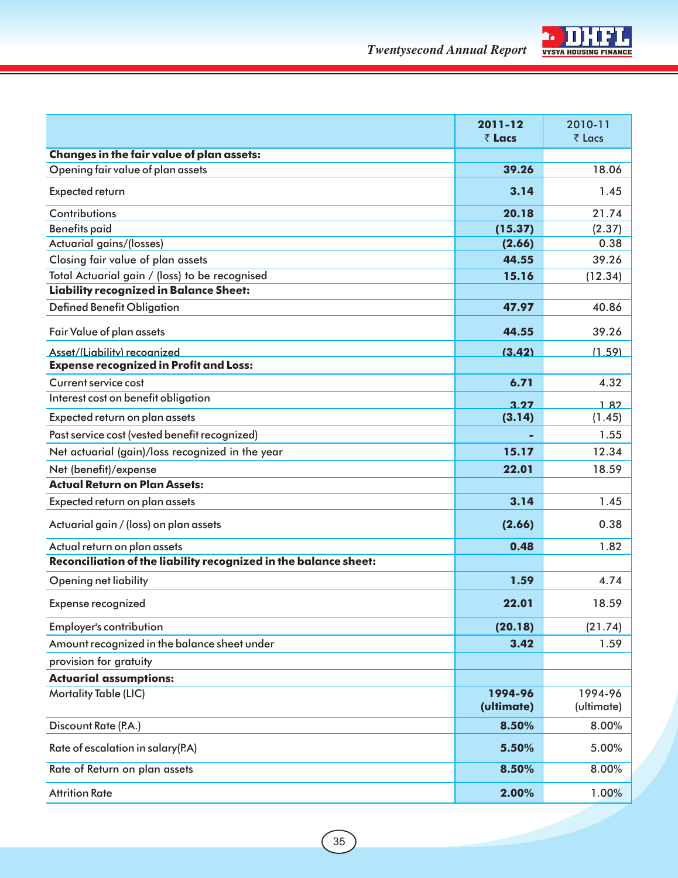

|                                                                  | 2011-12<br>₹ Lacs | 2010-11<br>₹ Lacs |
|------------------------------------------------------------------|-------------------|-------------------|
| Changes in the fair value of plan assets:                        |                   |                   |
| Opening fair value of plan assets                                | 39.26             | 18.06             |
| Expected return                                                  | 3.14              | 1.45              |
|                                                                  |                   |                   |
| Contributions                                                    | 20.18             | 21.74             |
| <b>Benefits paid</b>                                             | (15.37)           | (2.37)            |
| Actuarial gains/(losses)                                         | (2.66)            | 0.38              |
| Closing fair value of plan assets                                | 44.55             | 39.26             |
| Total Actuarial gain / (loss) to be recognised                   | 15.16             | (12.34)           |
| <b>Liability recognized in Balance Sheet:</b>                    |                   |                   |
| <b>Defined Benefit Obligation</b>                                | 47.97             | 40.86             |
| Fair Value of plan assets                                        | 44.55             | 39.26             |
| Asset/(Liability) recoanized                                     | (3.42)            | (1.59)            |
| <b>Expense recognized in Profit and Loss:</b>                    |                   |                   |
| Current service cost                                             | 6.71              | 4.32              |
| Interest cost on benefit obligation                              | 3.27              | 182               |
| Expected return on plan assets                                   | (3.14)            | (1.45)            |
| Past service cost (vested benefit recognized)                    |                   | 1.55              |
| Net actuarial (gain)/loss recognized in the year                 | 15.17             | 12.34             |
| Net (benefit)/expense                                            | 22.01             | 18.59             |
| <b>Actual Return on Plan Assets:</b>                             |                   |                   |
| Expected return on plan assets                                   | 3.14              | 1.45              |
| Actuarial gain / (loss) on plan assets                           | (2.66)            | 0.38              |
| Actual return on plan assets                                     | 0.48              | 1.82              |
| Reconciliation of the liability recognized in the balance sheet: |                   |                   |
| Opening net liability                                            | 1.59              | 4.74              |
| Expense recognized                                               | 22.01             | 18.59             |
| <b>Employer's contribution</b>                                   | (20.18)           | (21.74)           |
| Amount recognized in the balance sheet under                     | 3.42              | 1.59              |
| provision for gratuity                                           |                   |                   |
| <b>Actuarial assumptions:</b>                                    |                   |                   |
| <b>Mortality Table (LIC)</b>                                     | 1994-96           | 1994-96           |
|                                                                  | (ultimate)        | (ultimate)        |
| Discount Rate (P.A.)                                             | 8.50%             | 8.00%             |
| Rate of escalation in salary(P.A)                                | 5.50%             | 5.00%             |
| Rate of Return on plan assets                                    | 8.50%             | 8.00%             |
| <b>Attrition Rate</b>                                            | 2.00%             | 1.00%             |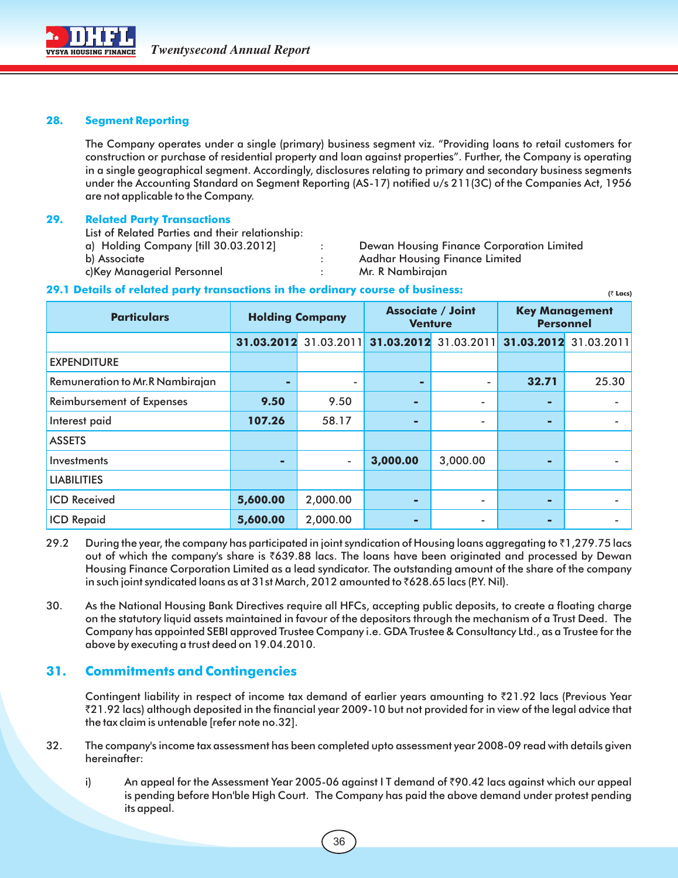

#### **28. Segment Reporting**

The Company operates under a single (primary) business segment viz. "Providing loans to retail customers for construction or purchase of residential property and loan against properties". Further, the Company is operating in a single geographical segment. Accordingly, disclosures relating to primary and secondary business segments under the Accounting Standard on Segment Reporting (AS-17) notified u/s 211(3C) of the Companies Act, 1956 are not applicable to the Company.

#### **29. Related Party Transactions**

List of Related Parties and their relationship:

- 
- 
- a) Holding Company [till 30.03.2012] : Dewan Housing Finance Corporation Limited

 **(**` **Lacs)**

- b) Associate **in According Exercise Section** 2 and Aadhar Housing Finance Limited
- c)Key Managerial Personnel : Mr. R Nambirajan

#### **29.1 Details of related party transactions in the ordinary course of business:**

| <b>Particulars</b>               | <b>Holding Company</b> |                       | <b>Associate / Joint</b><br><b>Venture</b> |                          | <b>Key Management</b><br><b>Personnel</b> |                          |
|----------------------------------|------------------------|-----------------------|--------------------------------------------|--------------------------|-------------------------------------------|--------------------------|
|                                  |                        | 31.03.2012 31.03.2011 | 31.03.2012                                 | 31.03.2011               | 31.03.2012                                | 31.03.2011               |
| <b>EXPENDITURE</b>               |                        |                       |                                            |                          |                                           |                          |
| Remuneration to Mr.R Nambirajan  | ۰                      | -                     |                                            | $\overline{\phantom{a}}$ | 32.71                                     | 25.30                    |
| <b>Reimbursement of Expenses</b> | 9.50                   | 9.50                  | ٠                                          | $\overline{\phantom{a}}$ | ۰                                         |                          |
| Interest paid                    | 107.26                 | 58.17                 | -                                          | ٠                        |                                           |                          |
| <b>ASSETS</b>                    |                        |                       |                                            |                          |                                           |                          |
| Investments                      | ٠                      | $\blacksquare$        | 3,000.00                                   | 3,000.00                 | -                                         |                          |
| <b>LIABILITIES</b>               |                        |                       |                                            |                          |                                           |                          |
| <b>ICD Received</b>              | 5,600.00               | 2,000.00              | -                                          | $\overline{\phantom{a}}$ | -                                         | ۰                        |
| <b>ICD Repaid</b>                | 5,600.00               | 2,000.00              | -                                          | $\overline{\phantom{a}}$ | ▬                                         | $\overline{\phantom{a}}$ |

- 29.2 During the year, the company has participated in joint syndication of Housing loans aggregating to  $\bar{\tau}1$ ,279.75 lacs out of which the company's share is `639.88 lacs. The loans have been originated and processed by Dewan Housing Finance Corporation Limited as a lead syndicator. The outstanding amount of the share of the company in such joint syndicated loans as at 31st March, 2012 amounted to  $\bar{\tau}$ 628.65 lacs (P.Y. Nil).
- 30. As the National Housing Bank Directives require all HFCs, accepting public deposits, to create a floating charge on the statutory liquid assets maintained in favour of the depositors through the mechanism of a Trust Deed. The Company has appointed SEBI approved Trustee Company i.e. GDA Trustee & Consultancy Ltd., as a Trustee for the above by executing a trust deed on 19.04.2010.

#### **31. Commitments and Contingencies**

Contingent liability in respect of income tax demand of earlier years amounting to `21.92 lacs (Previous Year `21.92 lacs) although deposited in the financial year 2009-10 but not provided for in view of the legal advice that the tax claim is untenable [refer note no.32].

- 32. The company's income tax assessment has been completed upto assessment year 2008-09 read with details given hereinafter:
	- i) An appeal for the Assessment Year 2005-06 against I T demand of  $\bar{\zeta}$ 90.42 lacs against which our appeal is pending before Hon'ble High Court. The Company has paid the above demand under protest pending its appeal.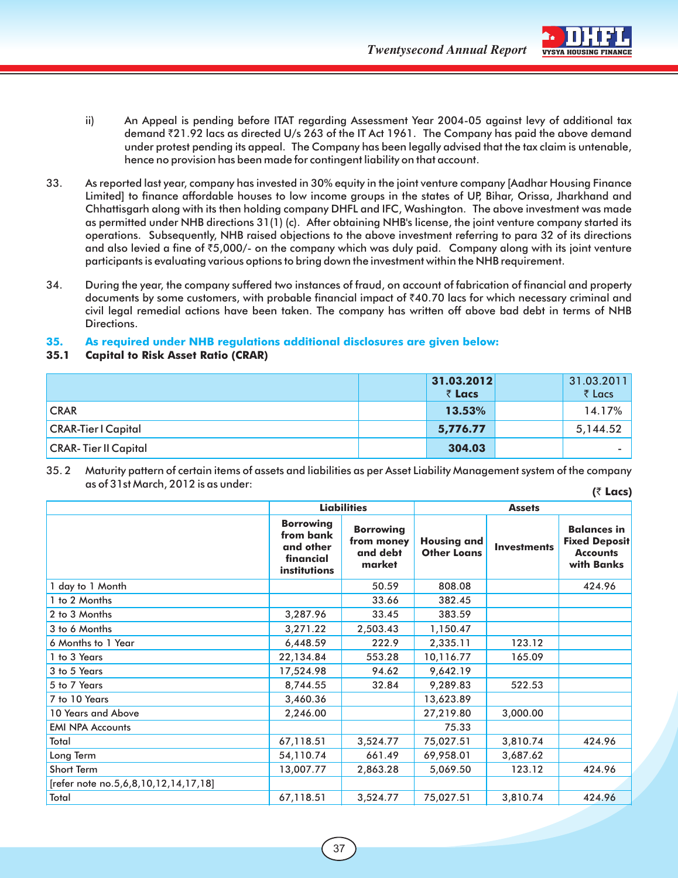**Twentysecond Annual Report** VYSYA HOUSING FINANCE



- ii) An Appeal is pending before ITAT regarding Assessment Year 2004-05 against levy of additional tax demand `21.92 lacs as directed U/s 263 of the IT Act 1961. The Company has paid the above demand under protest pending its appeal. The Company has been legally advised that the tax claim is untenable, hence no provision has been made for contingent liability on that account.
- 33. As reported last year, company has invested in 30% equity in the joint venture company [Aadhar Housing Finance Limited] to finance affordable houses to low income groups in the states of UP, Bihar, Orissa, Jharkhand and Chhattisgarh along with its then holding company DHFL and IFC, Washington. The above investment was made as permitted under NHB directions 31(1) (c). After obtaining NHB's license, the joint venture company started its operations. Subsequently, NHB raised objections to the above investment referring to para 32 of its directions and also levied a fine of  $\bar{z}5,000/$ - on the company which was duly paid. Company along with its joint venture participants is evaluating various options to bring down the investment within the NHB requirement.
- 34. During the year, the company suffered two instances of fraud, on account of fabrication of financial and property documents by some customers, with probable financial impact of  $\bar{\zeta}40.70$  lacs for which necessary criminal and civil legal remedial actions have been taken. The company has written off above bad debt in terms of NHB Directions.

#### **35. As required under NHB regulations additional disclosures are given below:**

#### **35.1 Capital to Risk Asset Ratio (CRAR)**

|                             | 31.03.2012<br>₹ Lacs | 31.03.2011<br>₹ Lacs |
|-----------------------------|----------------------|----------------------|
| <b>CRAR</b>                 | 13.53%               | 14.17%               |
| <b>CRAR-Tier I Capital</b>  | 5,776.77             | 5,144.52             |
| <b>CRAR-Tier II Capital</b> | 304.03               |                      |

35. 2 Maturity pattern of certain items of assets and liabilities as per Asset Liability Management system of the company as of 31st March, 2012 is as under: **(**` **Lacs)**

|                                      |                                                                         | <b>Liabilities</b>                                   |                                          | <b>Assets</b>      |                                                                             |
|--------------------------------------|-------------------------------------------------------------------------|------------------------------------------------------|------------------------------------------|--------------------|-----------------------------------------------------------------------------|
|                                      | <b>Borrowing</b><br>from bank<br>and other<br>financial<br>institutions | <b>Borrowing</b><br>from money<br>and debt<br>market | <b>Housing and</b><br><b>Other Loans</b> | <b>Investments</b> | <b>Balances in</b><br><b>Fixed Deposit</b><br><b>Accounts</b><br>with Banks |
| 1 day to 1 Month                     |                                                                         | 50.59                                                | 808.08                                   |                    | 424.96                                                                      |
| 1 to 2 Months                        |                                                                         | 33.66                                                | 382.45                                   |                    |                                                                             |
| 2 to 3 Months                        | 3,287.96                                                                | 33.45                                                | 383.59                                   |                    |                                                                             |
| 3 to 6 Months                        | 3,271.22                                                                | 2,503.43                                             | 1,150.47                                 |                    |                                                                             |
| 6 Months to 1 Year                   | 6,448.59                                                                | 222.9                                                | 2,335.11                                 | 123.12             |                                                                             |
| 1 to 3 Years                         | 22,134.84                                                               | 553.28                                               | 10,116.77                                | 165.09             |                                                                             |
| 3 to 5 Years                         | 17,524.98                                                               | 94.62                                                | 9,642.19                                 |                    |                                                                             |
| 5 to 7 Years                         | 8,744.55                                                                | 32.84                                                | 9,289.83                                 | 522.53             |                                                                             |
| 7 to 10 Years                        | 3,460.36                                                                |                                                      | 13,623.89                                |                    |                                                                             |
| 10 Years and Above                   | 2,246.00                                                                |                                                      | 27,219.80                                | 3,000.00           |                                                                             |
| <b>EMI NPA Accounts</b>              |                                                                         |                                                      | 75.33                                    |                    |                                                                             |
| Total                                | 67,118.51                                                               | 3,524.77                                             | 75,027.51                                | 3,810.74           | 424.96                                                                      |
| Long Term                            | 54,110.74                                                               | 661.49                                               | 69,958.01                                | 3,687.62           |                                                                             |
| Short Term                           | 13,007.77                                                               | 2,863.28                                             | 5,069.50                                 | 123.12             | 424.96                                                                      |
| [refer note no.5,6,8,10,12,14,17,18] |                                                                         |                                                      |                                          |                    |                                                                             |
| Total                                | 67,118.51                                                               | 3,524.77                                             | 75,027.51                                | 3,810.74           | 424.96                                                                      |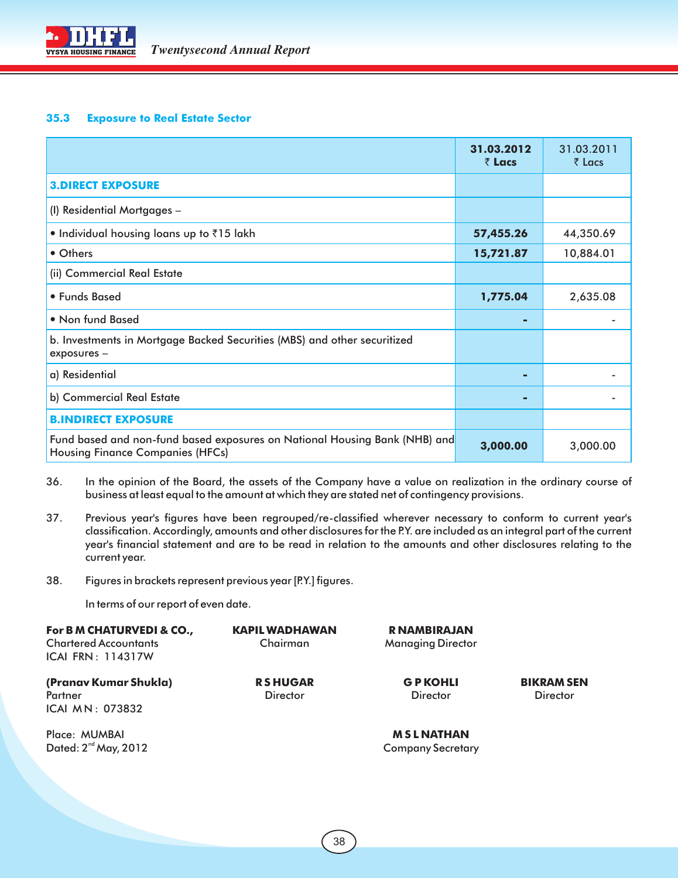

#### **35.3 Exposure to Real Estate Sector**

|                                                                                                                       | 31.03.2012<br>₹ Lacs | 31.03.2011<br>$\bar{z}$ Lacs |
|-----------------------------------------------------------------------------------------------------------------------|----------------------|------------------------------|
| <b>3.DIRECT EXPOSURE</b>                                                                                              |                      |                              |
| (I) Residential Mortgages -                                                                                           |                      |                              |
| • Individual housing loans up to ₹15 lakh                                                                             | 57,455.26            | 44,350.69                    |
| • Others                                                                                                              | 15,721.87            | 10,884.01                    |
| (ii) Commercial Real Estate                                                                                           |                      |                              |
| • Funds Based                                                                                                         | 1,775.04             | 2,635.08                     |
| • Non fund Based                                                                                                      | ٠                    |                              |
| b. Investments in Mortgage Backed Securities (MBS) and other securitized<br>exposures -                               |                      |                              |
| a) Residential                                                                                                        | ٠                    |                              |
| b) Commercial Real Estate                                                                                             | ٠                    |                              |
| <b>B.INDIRECT EXPOSURE</b>                                                                                            |                      |                              |
| Fund based and non-fund based exposures on National Housing Bank (NHB) and<br><b>Housing Finance Companies (HFCs)</b> | 3,000.00             | 3,000.00                     |

- 36. In the opinion of the Board, the assets of the Company have a value on realization in the ordinary course of business at least equal to the amount at which they are stated net of contingency provisions.
- 37. Previous year's figures have been regrouped/re-classified wherever necessary to conform to current year's classification. Accordingly, amounts and other disclosures for the P.Y. are included as an integral part of the current year's financial statement and are to be read in relation to the amounts and other disclosures relating to the current year.
- 38. Figures in brackets represent previous year [P.Y.] figures.

In terms of our report of even date.

| For B M CHATURVEDI & CO.,<br><b>Chartered Accountants</b><br><b>ICAI FRN: 114317W</b> | <b>KAPIL WADHAWAN</b><br>Chairman | R NAMBIRAJAN<br><b>Managing Director</b>     |                                      |
|---------------------------------------------------------------------------------------|-----------------------------------|----------------------------------------------|--------------------------------------|
| (Pranav Kumar Shukla)<br>Partner<br>ICAI MN: 073832                                   | <b>RSHUGAR</b><br><b>Director</b> | <b>GPKOHLI</b><br><b>Director</b>            | <b>BIKRAM SEN</b><br><b>Director</b> |
| Place: MUMBAI<br>Dated: $2^{nd}$ May, 2012                                            |                                   | <b>MSLNATHAN</b><br><b>Company Secretary</b> |                                      |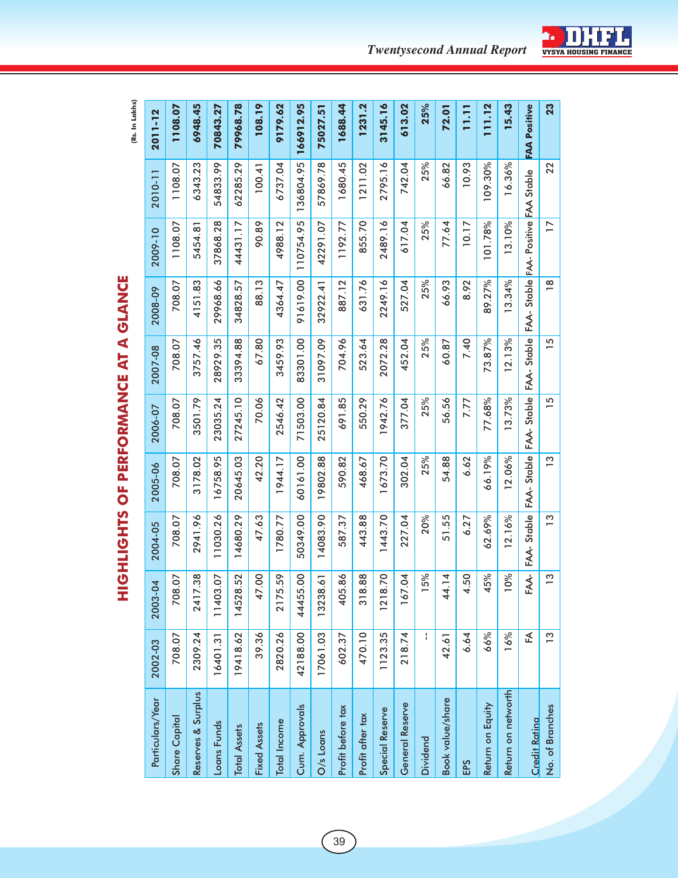**HIGHLIGHTS OF PERFORMANCE AT A GLANCE** 

| 23                  | 22        | $\overline{17}$                      | $\frac{8}{1}$                              | $\overline{5}$ | $\overline{15}$ | $\frac{1}{2}$ | $\frac{3}{2}$ | $\tilde{c}$               | $\tilde{c}$ | No. of Branches        |
|---------------------|-----------|--------------------------------------|--------------------------------------------|----------------|-----------------|---------------|---------------|---------------------------|-------------|------------------------|
| <b>FAA Positive</b> |           | FAA- Stable FAA- Positive FAA Stable |                                            | FAA-Stable     | FAA-Stable      | FAA-Stable    | FAA-Stable    | $FAA-$                    | 氐           | <b>Credit Ratina</b>   |
| 15.43               | 16.36%    | 13.10%                               | 13.34%                                     | 12.13%         | 13.73%          | 12.06%        | 12.16%        | $\frac{5}{6}$<br>$\Xi$    | 16%         | Return on networth     |
| 111.12              | 109.30%   | 101.78%                              | 89.27%                                     | 73.87%         | 77.68%          | 66.19%        | 62.69%        | $\delta$<br>45            | 66%         | Return on Equity       |
| 11.11               | 10.93     | 10.17                                | 8.92                                       | 7.40           | 7.77            | 6.62          | 6.27          | 4.50                      | 6.64        |                        |
| 72.01               | 66.82     | 77.64                                | 66.93                                      | 60.87          | 56.56           | 54.88         | 51.55         | 4<br>.<br>44              | 42.61       | Book value/share       |
| 25%                 | 25%       | 25%                                  | 25%                                        | 25%            | 25%             | 25%           | 20%           | $\delta$<br>$\frac{5}{2}$ | ł           | <b>Dividend</b>        |
| 613.02              | 742.04    | 617.04                               | 527.04                                     | 452.04         | 377.04          | 302.04        | 227.04        | <b>Z</b><br>167.0         | 218.74      | General Reserve        |
| 3145.16             | 2795.16   | 2489.16                              | 2249.16                                    | 2072.28        | 1942.76         | 1673.70       | 1443.70       | $\overline{C}$<br>1218.7  | 1123.35     | <b>Special Reserve</b> |
| 1231.2              | 1211.02   | 855.70                               | 631.76                                     | 523.64         | 550.29          | 468.67        | 443.88        | 318.88                    | 470.10      | Profit after tax       |
| 1688.44             | 1680.45   | 1192.77                              | 887.12                                     | 704.96         | 691.85          | 590.82        | 587.37        | 405.86                    | 602.37      | Profit before tax      |
| 75027.51            | 57869.78  | 42291.07                             | 32922.41                                   | 31097.09       | 25120.84        | 19802.88      | 14083.90      | 13238.61                  | 17061.03    | O/s Loans              |
| 166912.95           | 136804.95 | 110754.95                            | 91619.00                                   | 83301.00       | 71503.00        | 60161.00      | 50349.00      | 8<br>44455.               | 42188.00    | Cum. Approvals         |
| 9179.62             | 6737.04   | 4988.12                              | 4364.47                                    | 3459.93        | 2546.42         | 1944.17       | 1780.77       | 2175.59                   | 2820.26     | <b>Total Income</b>    |
| 108.19              | 100.41    | 90.89                                | 88.13                                      | 67.80          | 70.06           | 42.20         | 47.63         | 8<br>47.0                 | 39.36       | <b>Fixed Assets</b>    |
| 79968.78            | 62285.29  | 44431.17                             | 34828.57                                   | 33394.88       | 27245.10        | 20645.03      | 14680.29      | 14528.52                  | 19418.62    | <b>Total Assets</b>    |
| 70843.27            | 54833.99  | 37868.28                             | 29968.66                                   | 28929.35       | 23035.24        | 6758.95       | 11030.26      | 50<br>11403.              | 16401.31    | Loans Funds            |
| 6948.45             | 6343.23   | 5454.8                               | 4151.83                                    | 3757.46        | 3501.79         | 3178.02       | 2941.96       | 2417.38                   | 2309.24     | Reserves & Surplus     |
| 1108.07             | 1108.07   | 1108.07                              | 708.07                                     | 708.07         | 708.07          | 708.07        | 708.07        | b <sub>7</sub><br>708.    | 708.07      | <b>Share Capital</b>   |
| 2011-12             | 2010-11   | 2009-10                              | 2008-09                                    | 2007-08        | 2006-07         | 2005-06       | 2004-05       | 2003-04                   | 2002-03     | Particulars/Year       |
| (Rs. In Lakhs)      |           |                                      | <b>GHLIGHTS OF PERFORMANCE AT A GLANCE</b> |                |                 |               |               | Ī                         |             |                        |

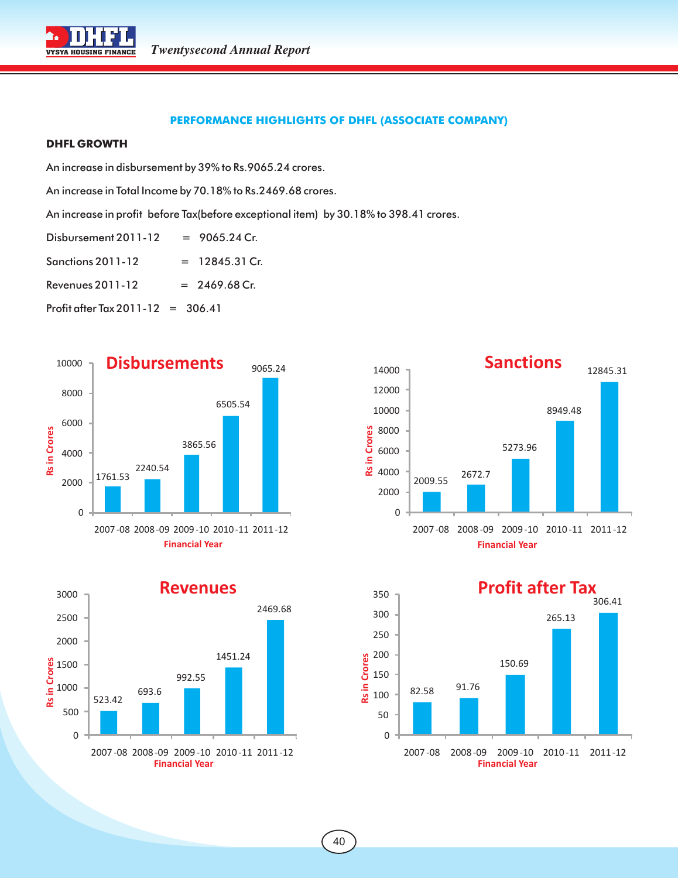

#### **PERFORMANCE HIGHLIGHTS OF DHFL (ASSOCIATE COMPANY)**

#### **DHFL GROWTH**

An increase in disbursement by 39% to Rs.9065.24 crores.

An increase in Total Income by 70.18% to Rs.2469.68 crores.

An increase in profit before Tax(before exceptional item) by 30.18% to 398.41 crores.

Disbursement  $2011-12 = 9065.24$  Cr.

 $S$ anctions 2011-12 = 12845.31 Cr.

Revenues 2011-12  $= 2469.68$  Cr.

Profit after Tax  $2011 - 12 = 306.41$ 







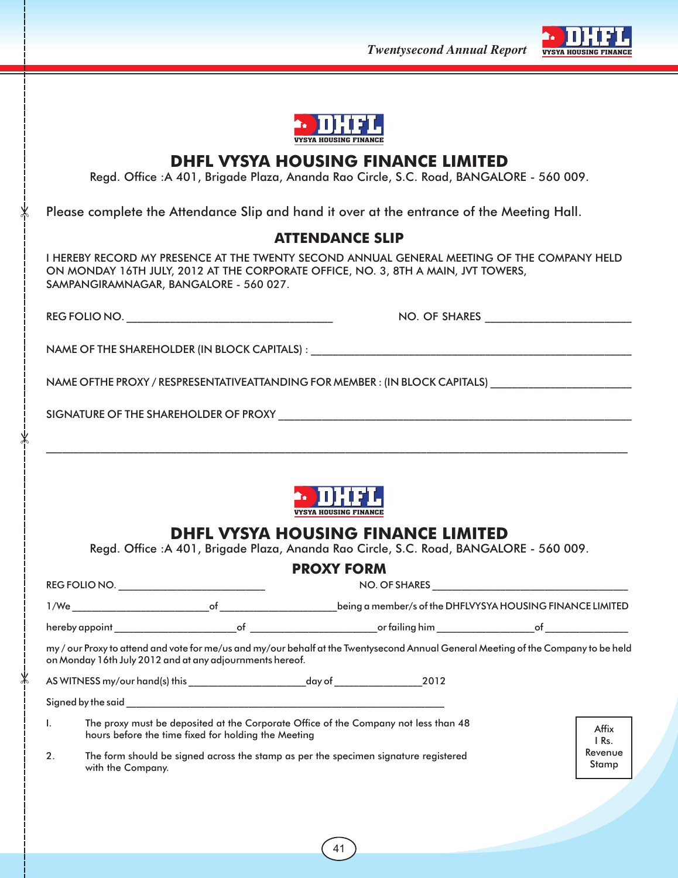**Twentysecond Annual Report** VYSYA HOUSING FINAN





## **DHFL VYSYA HOUSING FINANCE LIMITED**

Regd. Office :A 401, Brigade Plaza, Ananda Rao Circle, S.C. Road, BANGALORE - 560 009.

Please complete the Attendance Slip and hand it over at the entrance of the Meeting Hall.

### **ATTENDANCE SLIP**

I HEREBY RECORD MY PRESENCE AT THE TWENTY SECOND ANNUAL GENERAL MEETING OF THE COMPANY HELD ON MONDAY 16TH JULY, 2012 AT THE CORPORATE OFFICE, NO. 3, 8TH A MAIN, JVT TOWERS, SAMPANGIRAMNAGAR, BANGALORE - 560 027.

REG FOLIO NO. \_\_\_\_\_\_\_\_\_\_\_\_\_\_\_\_\_\_\_\_\_\_\_\_\_\_\_\_\_\_\_\_\_\_\_\_\_\_ NO. OF SHARES \_\_\_\_\_\_\_\_\_\_\_\_\_\_\_\_\_\_\_\_\_\_\_\_\_\_\_

NAME OF THE SHAREHOLDER (IN BLOCK CAPITALS) :

NAME OFTHE PROXY / RESPRESENTATIVEATTANDING FOR MEMBER : (IN BLOCK CAPITALS)

SIGNATURE OF THE SHAREHOLDER OF PROXY \_\_\_\_\_\_\_\_\_\_\_\_\_\_\_\_\_\_\_\_\_\_\_\_\_\_\_\_\_\_\_\_\_\_\_\_\_\_\_\_\_\_\_\_\_\_\_\_\_\_\_\_\_\_\_\_\_\_\_\_\_\_\_\_\_

 $\mathsf X$ 

 $\mathsf{\mathsf{X}}$ 

 $\ast$ 



\_\_\_\_\_\_\_\_\_\_\_\_\_\_\_\_\_\_\_\_\_\_\_\_\_\_\_\_\_\_\_\_\_\_\_\_\_\_\_\_\_\_\_\_\_\_\_\_\_\_\_\_\_\_\_\_\_\_\_\_\_\_\_\_\_\_\_\_\_\_\_\_\_\_\_\_\_\_\_\_\_\_\_\_\_\_\_\_\_\_\_\_\_\_\_\_\_\_\_\_\_\_\_\_\_\_\_

## **DHFL VYSYA HOUSING FINANCE LIMITED**

Regd. Office :A 401, Brigade Plaza, Ananda Rao Circle, S.C. Road, BANGALORE - 560 009.

|    |                                                 |                                                                                                                                                                                                                                | <b>PROXY FORM</b>                                                                                                                |                           |
|----|-------------------------------------------------|--------------------------------------------------------------------------------------------------------------------------------------------------------------------------------------------------------------------------------|----------------------------------------------------------------------------------------------------------------------------------|---------------------------|
|    | REG FOLIO NO. _________________________________ |                                                                                                                                                                                                                                |                                                                                                                                  |                           |
|    |                                                 | 1/We of the contract of the contract of the contract of the contract of the contract of the contract of the contract of the contract of the contract of the contract of the contract of the contract of the contract of the co | being a member/s of the DHFLVYSYA HOUSING FINANCE LIMITED                                                                        |                           |
|    |                                                 |                                                                                                                                                                                                                                |                                                                                                                                  |                           |
|    |                                                 | on Monday 16th July 2012 and at any adjournments hereof.                                                                                                                                                                       | my/our Proxy to attend and vote for me/us and my/our behalf at the Twentysecond Annual General Meeting of the Company to be held |                           |
|    |                                                 |                                                                                                                                                                                                                                |                                                                                                                                  |                           |
| I. |                                                 | hours before the time fixed for holding the Meeting                                                                                                                                                                            | The proxy must be deposited at the Corporate Office of the Company not less than 48                                              | Affix<br>I Rs.<br>Revenue |
| 2. | with the Company.                               |                                                                                                                                                                                                                                | The form should be signed across the stamp as per the specimen signature registered                                              | Stamp                     |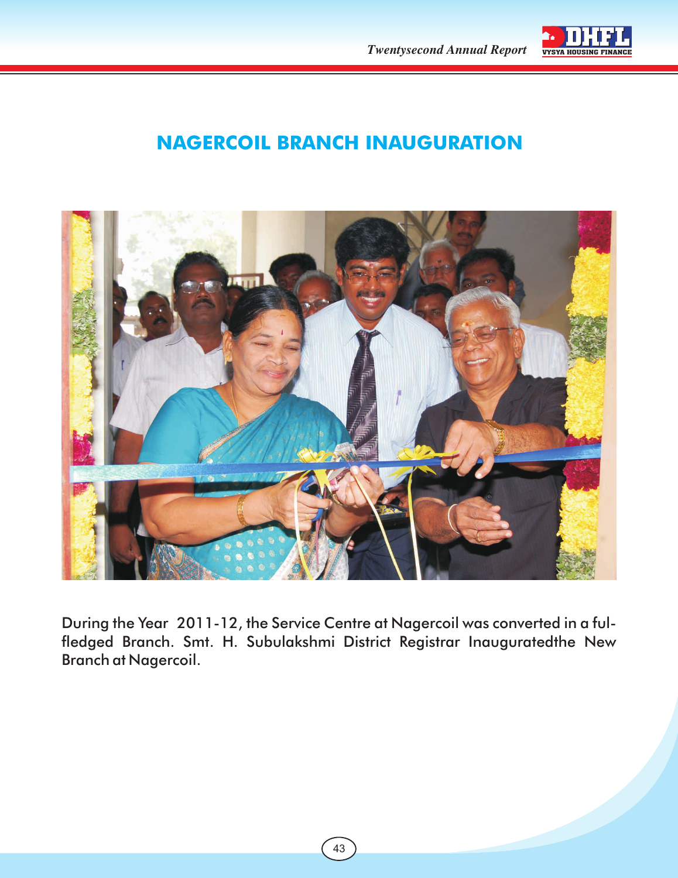

## **NAGERCOIL BRANCH INAUGURATION**



During the Year 2011-12, the Service Centre at Nagercoil was converted in a fulfledged Branch. Smt. H. Subulakshmi District Registrar Inauguratedthe New Branch at Nagercoil.